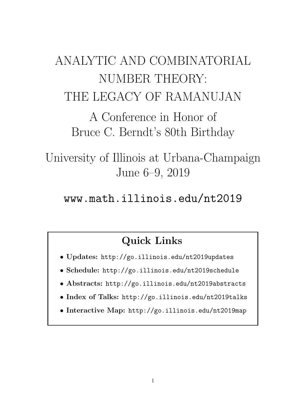# ANALYTIC AND COMBINATORIAL NUMBER THEORY: THE LEGACY OF RAMANUJAN

A Conference in Honor of Bruce C. Berndt's 80th Birthday

University of Illinois at Urbana-Champaign June 6–9, 2019

www.math.illinois.edu/nt2019

# Quick Links

- Updates: http://go.illinois.edu/nt2019updates
- Schedule: http://go.illinois.edu/nt2019schedule
- Abstracts: http://go.illinois.edu/nt2019abstracts
- Index of Talks: http://go.illinois.edu/nt2019talks
- Interactive Map: http://go.illinois.edu/nt2019map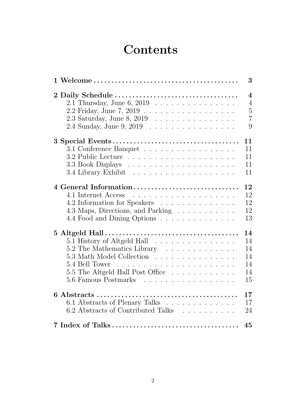# **Contents**

|                                                                                                                                                  | 3                          |
|--------------------------------------------------------------------------------------------------------------------------------------------------|----------------------------|
| 2 Daily Schedule                                                                                                                                 | $\overline{4}$             |
| $2.1$ Thursday, June 6, 2019                                                                                                                     | $\overline{4}$             |
| 2.2 Friday, June 7, 2019                                                                                                                         | $\overline{5}$             |
| 2.3 Saturday, June 8, 2019 $\ldots \ldots \ldots \ldots \ldots$                                                                                  | $\overline{7}$             |
| 2.4 Sunday, June 9, 2019                                                                                                                         | 9                          |
|                                                                                                                                                  | 11                         |
| 3.1 Conference Banquet                                                                                                                           | 11                         |
|                                                                                                                                                  | 11                         |
|                                                                                                                                                  | 11                         |
|                                                                                                                                                  | 11                         |
| 4 General Information<br>4.1 Internet Access<br>4.2 Information for Speakers<br>4.3 Maps, Directions, and Parking<br>4.4 Food and Dining Options | 12<br>12<br>12<br>12<br>13 |
|                                                                                                                                                  | 14                         |
| 5.1 History of Altgeld Hall                                                                                                                      | 14                         |
| 5.2 The Mathematics Library                                                                                                                      | 14                         |
| 5.3 Math Model Collection                                                                                                                        | 14                         |
|                                                                                                                                                  | 14                         |
| 5.5 The Altgeld Hall Post Office                                                                                                                 | 14                         |
| 5.6 Famous Postmarks                                                                                                                             | 15                         |
|                                                                                                                                                  | 17                         |
| 6.1 Abstracts of Plenary Talks                                                                                                                   | 17                         |
| 6.2 Abstracts of Contributed Talks                                                                                                               | 24                         |
|                                                                                                                                                  | 45                         |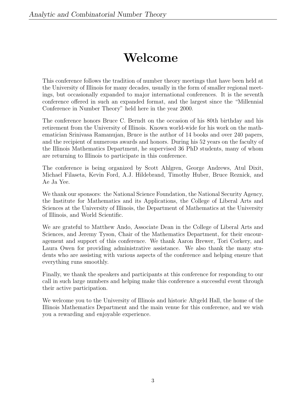# Welcome

This conference follows the tradition of number theory meetings that have been held at the University of Illinois for many decades, usually in the form of smaller regional meetings, but occasionally expanded to major international conferences. It is the seventh conference offered in such an expanded format, and the largest since the "Millennial Conference in Number Theory" held here in the year 2000.

The conference honors Bruce C. Berndt on the occasion of his 80th birthday and his retirement from the University of Illinois. Known world-wide for his work on the mathematician Srinivasa Ramanujan, Bruce is the author of 14 books and over 240 papers, and the recipient of numerous awards and honors. During his 52 years on the faculty of the Illinois Mathematics Department, he supervised 36 PhD students, many of whom are returning to Illinois to participate in this conference.

The conference is being organized by Scott Ahlgren, George Andrews, Atul Dixit, Michael Filaseta, Kevin Ford, A.J. Hildebrand, Timothy Huber, Bruce Reznick, and Ae Ja Yee.

We thank our sponsors: the National Science Foundation, the National Security Agency, the Institute for Mathematics and its Applications, the College of Liberal Arts and Sciences at the University of Illinois, the Department of Mathematics at the University of Illinois, and World Scientific.

We are grateful to Matthew Ando, Associate Dean in the College of Liberal Arts and Sciences, and Jeremy Tyson, Chair of the Mathematics Department, for their encouragement and support of this conference. We thank Aaron Brewer, Tori Corkery, and Laura Owen for providing administrative assistance. We also thank the many students who are assisting with various aspects of the conference and helping ensure that everything runs smoothly.

Finally, we thank the speakers and participants at this conference for responding to our call in such large numbers and helping make this conference a successful event through their active participation.

We welcome you to the University of Illinois and historic Altgeld Hall, the home of the Illinois Mathematics Department and the main venue for this conference, and we wish you a rewarding and enjoyable experience.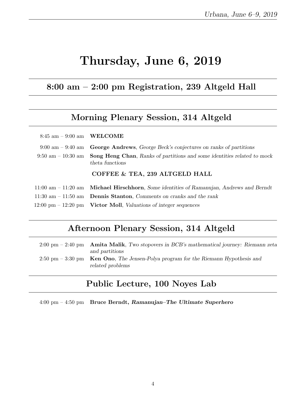# Thursday, June 6, 2019

# 8:00 am – 2:00 pm Registration, 239 Altgeld Hall

# Morning Plenary Session, 314 Altgeld

| $8:45$ am $-9:00$ am WELCOME        |                                                                                                                                 |
|-------------------------------------|---------------------------------------------------------------------------------------------------------------------------------|
| $9:00 \text{ am} - 9:40 \text{ am}$ | <b>George Andrews</b> , George Beck's conjectures on ranks of partitions                                                        |
|                                     | $9:50 \text{ am} - 10:30 \text{ am}$ Song Heng Chan, Ranks of partitions and some identities related to mock<br>theta functions |
|                                     | COFFEE & TEA, 239 ALTGELD HALL                                                                                                  |
|                                     | $11:00$ am $-11:20$ am <b>Michael Hirschhorn</b> , Some identities of Ramanujan, Andrews and Berndt                             |
|                                     | 11:30 am $-$ 11:50 am <b>Dennis Stanton</b> , Comments on cranks and the rank                                                   |
|                                     | $12:00 \text{ pm} - 12:20 \text{ pm}$ Victor Moll, Valuations of integer sequences                                              |

# Afternoon Plenary Session, 314 Altgeld

| $2:00 \text{ pm} - 2:40 \text{ pm}$ Amita Malik, Two stopovers in BCB's mathematical journey: Riemann zeta |
|------------------------------------------------------------------------------------------------------------|
| and partitions                                                                                             |
| 2:50 pm $-$ 3:30 pm Ken Ono, The Jensen-Polya program for the Riemann Hypothesis and<br>related problems   |

# Public Lecture, 100 Noyes Lab

4:00 pm – 4:50 pm Bruce Berndt, Ramanujan–The Ultimate Superhero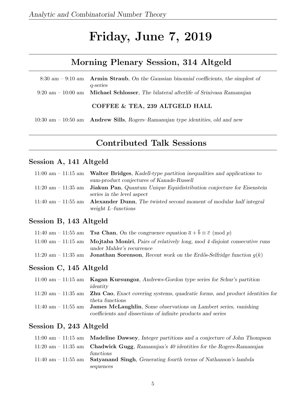# Friday, June 7, 2019

# Morning Plenary Session, 314 Altgeld

| 8:30 am $-$ 9:10 am Armin Straub, On the Gaussian binomial coefficients, the simplest of               |
|--------------------------------------------------------------------------------------------------------|
| q-series                                                                                               |
| $9:20 \text{ am} - 10:00 \text{ am}$ Michael Schlosser, The bilateral afterlife of Srinivasa Ramanujan |
| COFFEE & TEA, 239 ALTGELD HALL                                                                         |

10:30 am – 10:50 am Andrew Sills, Rogers–Ramanujan type identities, old and new

# Contributed Talk Sessions

# Session A, 141 Altgeld

| $11:00$ am $-11:15$ am Walter Bridges, Kadell-type partition inequalities and applications to       |
|-----------------------------------------------------------------------------------------------------|
| sum-product conjectures of Kanade-Russell                                                           |
| 11:20 am $-$ 11:35 am <b>Jiakun Pan</b> , Quantum Unique Equidistribution conjecture for Eisenstein |
| series in the level aspect                                                                          |
| 11:40 am $-$ 11:55 am Alexander Dunn, The twisted second moment of modular half integral            |
| weight $L$ -functions                                                                               |

# Session B, 143 Altgeld

| 11:40 am - 11:55 am <b>Tsz Chan</b> , On the congruence equation $\bar{a} + b \equiv \bar{c} \pmod{p}$ |
|--------------------------------------------------------------------------------------------------------|
| $11:00$ am $-11:15$ am Mojtaba Moniri, Pairs of relatively long, mod 4 disjoint consecutive runs       |
| under Mahler's recurrence                                                                              |
| 11:20 am - 11:35 am <b>Jonathan Sorenson</b> , Recent work on the Erdős-Selfridge function $q(k)$      |

# Session C, 145 Altgeld

| $11:00$ am $-11:15$ am Kagan Kursungoz, Andrews-Gordon type series for Schur's partition                |
|---------------------------------------------------------------------------------------------------------|
| identity                                                                                                |
| 11:20 am $-$ 11:35 am $\,$ Zhu Cao, Exact covering systems, quadratic forms, and product identities for |
| theta functions                                                                                         |
| 11:40 am $-$ 11:55 am <b>James McLaughlin</b> , Some observations on Lambert series, vanishing          |
| coefficients and dissections of infinite products and series                                            |

| $11:00$ am $-11:15$ am <b>Madeline Dawsey</b> , Integer partitions and a conjecture of John Thompson |
|------------------------------------------------------------------------------------------------------|
| $11:20$ am $-11:35$ am <b>Chadwick Gugg</b> , Ramanujan's 40 identities for the Rogers-Ramanujan     |
| functions                                                                                            |
| 11:40 am $-$ 11:55 am Satyan and Singh, Generating fourth terms of Nathanson's lambda                |
| sequences                                                                                            |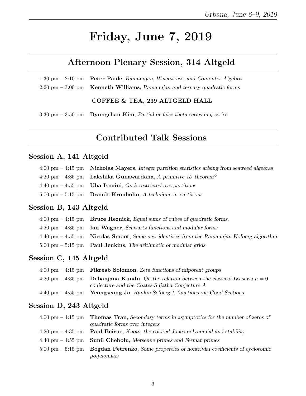# Friday, June 7, 2019

# Afternoon Plenary Session, 314 Altgeld

1:30 pm – 2:10 pm Peter Paule, Ramanujan, Weierstrass, and Computer Algebra 2:20 pm – 3:00 pm Kenneth Williams, Ramanujan and ternary quadratic forms

COFFEE & TEA, 239 ALTGELD HALL

3:30 pm – 3:50 pm – Byungchan Kim, Partial or false theta series in q-series

# Contributed Talk Sessions

# Session A, 141 Altgeld

| $4:00 \text{ pm} - 4:15 \text{ pm}$ Nicholas Mayers, Integer partition statistics arising from seaweed algebras |
|-----------------------------------------------------------------------------------------------------------------|
| $4:20 \text{ pm} - 4:35 \text{ pm}$ Lakshika Gunawardana, A primitive 15-theorem?                               |
| 4:40 pm $-$ 4:55 pm Uha Isnaini, On k-restricted overpartitions                                                 |
| $5:00 \text{ pm} - 5:15 \text{ pm}$ Brandt Kronholm, A technique in partitions                                  |

# Session B, 143 Altgeld

| $4:00 \text{ pm} - 4:15 \text{ pm}$ Bruce Reznick, Equal sums of cubes of quadratic forms.                  |
|-------------------------------------------------------------------------------------------------------------|
| $4:20 \text{ pm} - 4:35 \text{ pm}$ Ian Wagner, Schwartz functions and modular forms                        |
| $4:40 \text{ pm} - 4:55 \text{ pm}$ Nicolas Smoot, Some new identities from the Ramanujan-Kolberg algorithm |
| $5:00 \text{ pm} - 5:15 \text{ pm}$ Paul Jenkins, The arithmetic of modular grids                           |

# Session C, 145 Altgeld

| $4:00 \text{ pm} - 4:15 \text{ pm}$ Fikreab Solomon, Zeta functions of nilpotent groups            |
|----------------------------------------------------------------------------------------------------|
| 4:20 pm – 4:35 pm <b>Debanjana Kundu</b> , On the relation between the classical Iwasawa $\mu = 0$ |
| conjecture and the Coates-Sujatha Conjecture A                                                     |
| $4:40 \text{ pm} - 4:55 \text{ pm}$ Yeongseong Jo, Rankin-Selberg L-functions via Good Sections    |

| $4:00 \text{ pm} - 4:15 \text{ pm}$ Thomas Tran, Secondary terms in asymptotics for the number of zeros of    |
|---------------------------------------------------------------------------------------------------------------|
| quadratic forms over integers                                                                                 |
| $4:20 \text{ pm} - 4:35 \text{ pm}$ Paul Beirne, Knots, the colored Jones polynomial and stability            |
| $4:40 \text{ pm} - 4:55 \text{ pm}$ Sunil Chebolu, Mersenne primes and Fermat primes                          |
| $5:00 \text{ pm} - 5:15 \text{ pm}$ Bogdan Petrenko, Some properties of nontrivial coefficients of cyclotomic |
| polynomials                                                                                                   |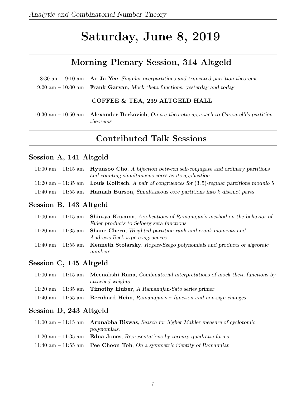# Saturday, June 8, 2019

# Morning Plenary Session, 314 Altgeld

| 8:30 am – 9:10 am – Ae Ja Yee, Singular overpartitions and truncated partition theorems      |
|----------------------------------------------------------------------------------------------|
| $9:20 \text{ am} - 10:00 \text{ am}$ Frank Garvan, Mock theta functions: yesterday and today |
|                                                                                              |

#### COFFEE & TEA, 239 ALTGELD HALL

10:30 am – 10:50 am Alexander Berkovich, On a q-theoretic approach to Capparelli's partition theorems

# Contributed Talk Sessions

# Session A, 141 Altgeld

| $11:00$ am $-11:15$ am Hyunsoo Cho, A bijection between self-conjugate and ordinary partitions     |
|----------------------------------------------------------------------------------------------------|
| and counting simultaneous cores as its application                                                 |
| 11:20 am – 11:35 am Louis Kolitsch, A pair of congruences for $(3,5)$ -regular partitions modulo 5 |
| 11:40 am $-$ 11:55 am <b>Hannah Burson</b> , Simultaneous core partitions into k distinct parts    |

# Session B, 143 Altgeld

| 11:00 am $-$ 11:15 am Shin-ya Koyama, Applications of Ramanujan's method on the behavior of |
|---------------------------------------------------------------------------------------------|
| Euler products to Selberg zeta functions                                                    |
| 11:20 am $-$ 11:35 am Shane Chern, Weighted partition rank and crank moments and            |
| Andrews-Beck type congruences                                                               |
| 11:40 am $-$ 11:55 am Kenneth Stolarsky, Rogers-Szego polynomials and products of algebraic |
| numbers                                                                                     |

# Session C, 145 Altgeld

| $11:00$ am $-11:15$ am <b>Meenakshi Rana</b> , Combinatorial interpretations of mock theta functions by |
|---------------------------------------------------------------------------------------------------------|
| attached weights                                                                                        |
| 11:20 am $-$ 11:35 am Timothy Huber, A Ramanujan-Sato series primer                                     |
| 11:40 am – 11:55 am – Bernhard Heim, Ramanujan's $\tau$ function and non-sign changes                   |

| $11:00$ am $-11:15$ am Arunabha Biswas, Search for higher Mahler measure of cyclotomic |
|----------------------------------------------------------------------------------------|
| polynomials.                                                                           |
| 11:20 am $-$ 11:35 am Edna Jones, Representations by ternary quadratic forms           |
| 11:40 am $-$ 11:55 am Pee Choon Toh, On a symmetric identity of Ramanujan              |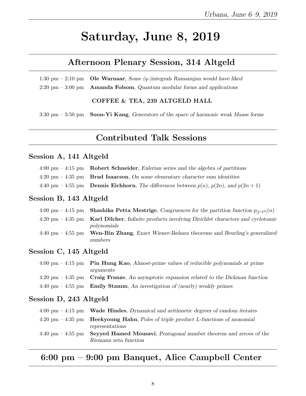# Saturday, June 8, 2019

# Afternoon Plenary Session, 314 Altgeld

1:30 pm – 2:10 pm **Ole Warnaar**, Some  $(q$ -)integrals Ramanujan would have liked  $2:20 \text{ pm} - 3:00 \text{ pm}$  Amanda Folsom, Quantum modular forms and applications

#### COFFEE & TEA, 239 ALTGELD HALL

3:30 pm  $-$  3:50 pm Soon-Yi Kang, Generators of the space of harmonic weak Maass forms

# Contributed Talk Sessions

# Session A, 141 Altgeld

|  | $4:00 \text{ pm} - 4:15 \text{ pm}$ Robert Schneider, Eulerian series and the algebra of partitions |  |  |  |
|--|-----------------------------------------------------------------------------------------------------|--|--|--|
|--|-----------------------------------------------------------------------------------------------------|--|--|--|

- $4:20 \text{ pm} 4:35 \text{ pm}$  Brad Isaacson, On some elementary character sum identities
- 4:40 pm 4:55 pm Dennis Eichhorn, The differences between  $p(n)$ ,  $p(2n)$ , and  $p(2n + 1)$

#### Session B, 143 Altgeld

|                                     | 4:00 pm – 4:15 pm – <b>Shashika Petta Mestrige</b> , Congruences for the partition function $p_{[1 \text{c} q d]}(n)$ |
|-------------------------------------|-----------------------------------------------------------------------------------------------------------------------|
|                                     | $4:20 \text{ pm} - 4:35 \text{ pm}$ Karl Dilcher, Infinite products involving Dirichlet characters and cyclotomic     |
|                                     | polynomials                                                                                                           |
| $4:40 \text{ pm} - 4:55 \text{ pm}$ | <b>Wen-Bin Zhang</b> , Exact Wiener-Ikehara theorems and Beurling's generalized                                       |
|                                     | numbers                                                                                                               |

## Session C, 145 Altgeld

| $4:00 \text{ pm} - 4:15 \text{ pm}$ Pin Hung Kao, Almost-prime values of reducible polynomials at prime   |
|-----------------------------------------------------------------------------------------------------------|
| arguments                                                                                                 |
| $4:20 \text{ pm} - 4:35 \text{ pm}$ Craig Franze, An asymptotic expansion related to the Dickman function |
| 4:40 pm $-$ 4:55 pm Emily Stamm, An investigation of (nearly) weakly primes                               |

# Session D, 243 Altgeld

| $4:00 \text{ pm} - 4:15 \text{ pm}$ Wade Hindes, Dynamical and arithmetic degrees of random iterates  |
|-------------------------------------------------------------------------------------------------------|
| $4:20 \text{ pm} - 4:35 \text{ pm}$ Heekyoung Hahn, Poles of triple product L-functions of monomial   |
| representations                                                                                       |
| $4:40 \text{ pm} - 4:55 \text{ pm}$ Seyyed Hamed Mousavi, Pentagonal number theorem and zeroes of the |
| Riemann zeta function                                                                                 |

# 6:00 pm – 9:00 pm Banquet, Alice Campbell Center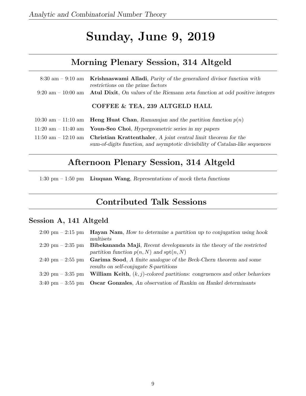# Sunday, June 9, 2019

# Morning Plenary Session, 314 Altgeld

| 8:30 am $-$ 9:10 am Krishnaswami Alladi, Parity of the generalized divisor function with<br>restrictions on the prime factors                                         |
|-----------------------------------------------------------------------------------------------------------------------------------------------------------------------|
| $9:20 \text{ am} - 10:00 \text{ am}$ Atul Dixit, On values of the Riemann zeta function at odd positive integers                                                      |
| COFFEE & TEA, 239 ALTGELD HALL                                                                                                                                        |
| 10:30 am – 11:10 am – Heng Huat Chan, Ramanujan and the partition function $p(n)$                                                                                     |
| 11:20 am $-$ 11:40 am Youn-Seo Choi, Hypergeometric series in my papers                                                                                               |
| 11:50 am - 12:10 am - Christian Krattenthaler, A joint central limit theorem for the<br>sum-of-digits function, and asymptotic divisibility of Catalan-like sequences |

# Afternoon Plenary Session, 314 Altgeld

1:30 pm – 1:50 pm Liuquan Wang, Representations of mock theta functions

# Contributed Talk Sessions

# Session A, 141 Altgeld

| $2:00 \text{ pm} - 2:15 \text{ pm}$ | <b>Hayan Nam</b> , How to determine a partition up to conjugation using hook                                                 |
|-------------------------------------|------------------------------------------------------------------------------------------------------------------------------|
|                                     | multisets                                                                                                                    |
| $2:20 \text{ pm} - 2:35 \text{ pm}$ | Bibekananda Maji, Recent developments in the theory of the restricted<br>partition function $p(n, N)$ and $\text{spt}(n, N)$ |
| $2:40 \text{ pm} - 2:55 \text{ pm}$ | Garima Sood, A finite analogue of the Beck-Chern theorem and some<br>results on self-conjugate S-partitions                  |
| $3:20 \text{ pm} - 3:35 \text{ pm}$ | <b>William Keith</b> , $(k, j)$ -colored partitions: congruences and other behaviors                                         |
| $3:40 \text{ pm} - 3:55 \text{ pm}$ | <b>Oscar Gonzales</b> , An observation of Rankin on Hankel determinants                                                      |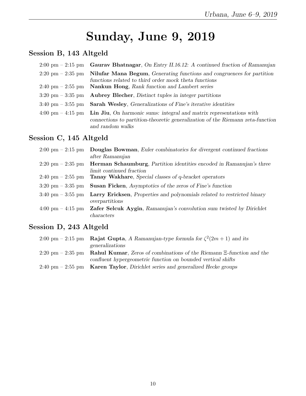# Sunday, June 9, 2019

# Session B, 143 Altgeld

| $2:00 \text{ pm} - 2:15 \text{ pm}$ Gaurav Bhatnagar, On Entry II.16.12: A continued fraction of Ramanujan                                                                                                    |
|---------------------------------------------------------------------------------------------------------------------------------------------------------------------------------------------------------------|
| $2:20 \text{ pm} - 2:35 \text{ pm}$ Nilufar Mana Begum, Generating functions and congruences for partition<br>functions related to third order mock theta functions                                           |
| $2:40 \text{ pm} - 2:55 \text{ pm}$ Nankun Hong, Rank function and Lambert series                                                                                                                             |
| $3:20 \text{ pm} - 3:35 \text{ pm}$ Aubrey Blecher, Distinct tuples in integer partitions                                                                                                                     |
| 3:40 pm $-$ 3:55 pm Sarah Wesley, Generalizations of Fine's iterative identities                                                                                                                              |
| $4:00 \text{ pm} - 4:15 \text{ pm}$ Lin Jiu, On harmonic sums: integral and matrix representations with<br>connections to partition-theoretic generalization of the Riemann zeta-function<br>and random walks |

# Session C, 145 Altgeld

| $2:00 \text{ pm} - 2:15 \text{ pm}$ | <b>Douglas Bowman</b> , Euler combinatories for divergent continued fractions |
|-------------------------------------|-------------------------------------------------------------------------------|
|                                     | after Ramanujan                                                               |
| $2:20 \text{ pm} - 2:35 \text{ pm}$ | Herman Schaumburg, Partition identities encoded in Ramanujan's three          |
|                                     | limit continued fraction                                                      |
| $2:40 \text{ pm} - 2:55 \text{ pm}$ | Tanay Wakhare, Special classes of q-bracket operators                         |
| $3:20 \text{ pm} - 3:35 \text{ pm}$ | <b>Susan Ficken,</b> Asymptotics of the zeros of Fine's function              |
| $3:40 \text{ pm} - 3:55 \text{ pm}$ | Larry Ericksen, Properties and polynomials related to restricted binary       |
|                                     | overpartitions                                                                |
| $4:00 \text{ pm} - 4:15 \text{ pm}$ | <b>Zafer Selcuk Aygin, Ramanujan's convolution sum twisted by Dirichlet</b>   |
|                                     | characters                                                                    |
|                                     |                                                                               |

| 2:00 pm – 2:15 pm <b>Rajat Gupta</b> , A Ramanujan-type formula for $\zeta^2(2m+1)$ and its     |
|-------------------------------------------------------------------------------------------------|
| generalizations                                                                                 |
| 2:20 pm – 2:35 pm – Rahul Kumar, Zeros of combinations of the Riemann $\Xi$ -function and the   |
| confluent hypergeometric function on bounded vertical shifts                                    |
| $2:40 \text{ pm} - 2:55 \text{ pm}$ Karen Taylor, Dirichlet series and generalized Hecke groups |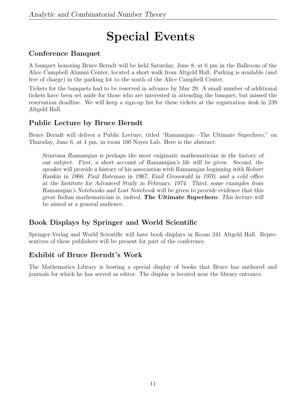# Special Events

# Conference Banquet

A banquet honoring Bruce Berndt will be held Saturday, June 8, at 6 pm in the Ballroom of the Alice Campbell Alumni Center, located a short walk from Altgeld Hall. Parking is available (and free of charge) in the parking lot to the south of the Alice Campbell Center.

Tickets for the banquets had to be reserved in advance by May 29. A small number of additional tickets have been set aside for those who are interested in attending the banquet, but missed the reservation deadline. We will keep a sign-up list for these tickets at the registration desk in 239 Altgeld Hall.

# Public Lecture by Bruce Berndt

Bruce Berndt will deliver a Public Lecture, titled "Ramanujan—The Ultimate Superhero," on Thursday, June 6, at 4 pm, in room 100 Noyes Lab. Here is the abstract:

Srinivasa Ramanujan is perhaps the most enigmatic mathematician in the history of our subject. First, a short account of Ramanujan's life will be given. Second, the speaker will provide a history of his association with Ramanujan beginning with Robert Rankin in 1966, Paul Bateman in 1967, Emil Grosswald in 1970, and a cold office at the Institute for Advanced Study in February, 1974. Third, some examples from Ramanujan's Notebooks and Lost Notebook will be given to provide evidence that this great Indian mathematician is, indeed, **The Ultimate Superhero**. This lecture will be aimed at a general audience.

# Book Displays by Springer and World Scientific

Springer-Verlag and World Scientific will have book displays in Room 241 Altgeld Hall. Representives of these publishers will be present for part of the conference.

# Exhibit of Bruce Berndt's Work

The Mathematics Library is hosting a special display of books that Bruce has authored and journals for which he has served as editor. The display is located near the library entrance.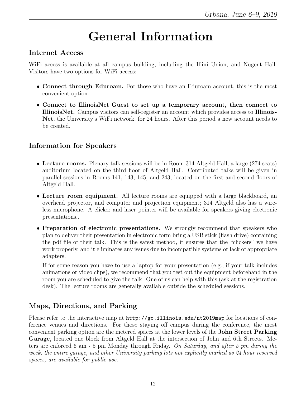# General Information

# Internet Access

WiFi access is available at all campus building, including the Illini Union, and Nugent Hall. Visitors have two options for WiFi access:

- Connect through Eduroam. For those who have an Eduroam account, this is the most convenient option.
- Connect to IllinoisNet Guest to set up a temporary account, then connect to IllinoisNet. Campus visitors can self-register an account which provides access to Illinois-Net, the University's WiFi network, for 24 hours. After this period a new account needs to be created.

# Information for Speakers

- Lecture rooms. Plenary talk sessions will be in Room 314 Altgeld Hall, a large (274 seats) auditorium located on the third floor of Altgeld Hall. Contributed talks will be given in parallel sessions in Rooms 141, 143, 145, and 243, located on the first and second floors of Altgeld Hall.
- Lecture room equipment. All lecture rooms are equipped with a large blackboard, an overhead projector, and computer and projection equipment; 314 Altgeld also has a wireless microphone. A clicker and laser pointer will be available for speakers giving electronic presentations..
- Preparation of electronic presentations. We strongly recommend that speakers who plan to deliver their presentation in electronic form bring a USB stick (flash drive) containing the pdf file of their talk. This is the safest method, it ensures that the "clickers" we have work properly, and it eliminates any issues due to incompatible systems or lack of appropriate adapters.

If for some reason you have to use a laptop for your presentation (e.g., if your talk includes animations or video clips), we recommend that you test out the equipment beforehand in the room you are scheduled to give the talk. One of us can help with this (ask at the registration desk). The lecture rooms are generally available outside the scheduled sessions.

# Maps, Directions, and Parking

Please refer to the interactive map at  $http://go.illinois.edu/nt2019map$  for locations of conference venues and directions. For those staying off campus during the conference, the most convenient parking option are the metered spaces at the lower levels of the John Street Parking Garage, located one block from Altgeld Hall at the intersection of John and 6th Streets. Meters are enforced 6 am - 5 pm Monday through Friday. On Saturday, and after 5 pm during the week, the entire garage, and other University parking lots not explicitly marked as 24 hour reserved spaces, are available for public use.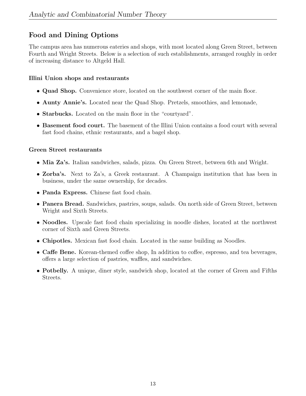# Food and Dining Options

The campus area has numerous eateries and shops, with most located along Green Street, between Fourth and Wright Streets. Below is a selection of such establishments, arranged roughly in order of increasing distance to Altgeld Hall.

# Illini Union shops and restaurants

- Quad Shop. Convenience store, located on the southwest corner of the main floor.
- Aunty Annie's. Located near the Quad Shop. Pretzels, smoothies, and lemonade,
- Starbucks. Located on the main floor in the "courtyard".
- Basement food court. The basement of the Illini Union contains a food court with several fast food chains, ethnic restaurants, and a bagel shop.

## Green Street restaurants

- Mia Za's. Italian sandwiches, salads, pizza. On Green Street, between 6th and Wright.
- Zorba's. Next to Za's, a Greek restaurant. A Champaign institution that has been in business, under the same ownership, for decades.
- Panda Express. Chinese fast food chain.
- Panera Bread. Sandwiches, pastries, soups, salads. On north side of Green Street, between Wright and Sixth Streets.
- Noodles. Upscale fast food chain specializing in noodle dishes, located at the northwest corner of Sixth and Green Streets.
- Chipotles. Mexican fast food chain. Located in the same building as Noodles.
- Caffe Bene. Korean-themed coffee shop, In addition to coffee, espresso, and tea beverages, offers a large selection of pastries, waffles, and sandwiches.
- Potbelly. A unique, diner style, sandwich shop, located at the corner of Green and Fifths Streets.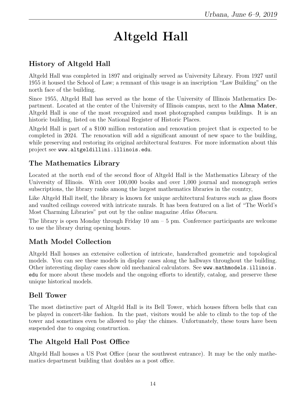# Altgeld Hall

# History of Altgeld Hall

Altgeld Hall was completed in 1897 and originally served as University Library. From 1927 until 1955 it housed the School of Law; a remnant of this usage is an inscription "Law Building" on the north face of the building.

Since 1955, Altgeld Hall has served as the home of the University of Illinois Mathematics Department. Located at the center of the University of Illinois campus, next to the Alma Mater, Altgeld Hall is one of the most recognized and most photographed campus buildings. It is an historic building, listed on the National Register of Historic Places.

Altgeld Hall is part of a \$100 million restoration and renovation project that is expected to be completed in 2024. The renovation will add a significant amount of new space to the building, while preserving and restoring its original architectural features. For more information about this project see www.altgeldillini.illinois.edu.

# The Mathematics Library

Located at the north end of the second floor of Altgeld Hall is the Mathematics Library of the University of Illinois. With over 100,000 books and over 1,000 journal and monograph series subscriptions, the library ranks among the largest mathematics libraries in the country,

Like Altgeld Hall itself, the library is known for unique architectural features such as glass floors and vaulted ceilings covered with intricate murals. It has been featured on a list of "The World's Most Charming Libraries" put out by the online magazine Atlas Obscura.

The library is open Monday through Friday  $10 \text{ am} - 5 \text{ pm}$ . Conference participants are welcome to use the library during opening hours.

# Math Model Collection

Altgeld Hall houses an extensive collection of intricate, handcrafted geometric and topological models. You can see these models in display cases along the hallways throughout the building. Other interesting display cases show old mechanical calculators. See www.mathmodels.illinois. edu for more about these models and the ongoing efforts to identify, catalog, and preserve these unique historical models.

# Bell Tower

The most distinctive part of Altgeld Hall is its Bell Tower, which houses fifteen bells that can be played in concert-like fashion. In the past, visitors would be able to climb to the top of the tower and sometimes even be allowed to play the chimes. Unfortunately, these tours have been suspended due to ongoing construction.

# The Altgeld Hall Post Office

Altgeld Hall houses a US Post Office (near the southwest entrance). It may be the only mathematics department building that doubles as a post office.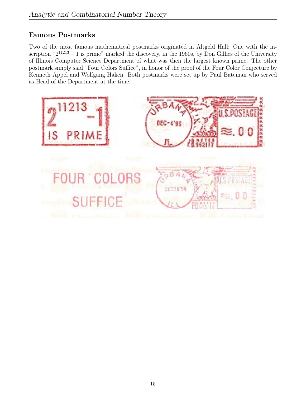# Famous Postmarks

Two of the most famous mathematical postmarks originated in Altgeld Hall: One with the inscription " $2^{11213} - 1$  is prime" marked the discovery, in the 1960s, by Don Gillies of the University of Illinois Computer Science Department of what was then the largest known prime. The other postmark simply said "Four Colors Suffice", in honor of the proof of the Four Color Conjecture by Kenneth Appel and Wolfgang Haken. Both postmarks were set up by Paul Bateman who served as Head of the Department at the time.

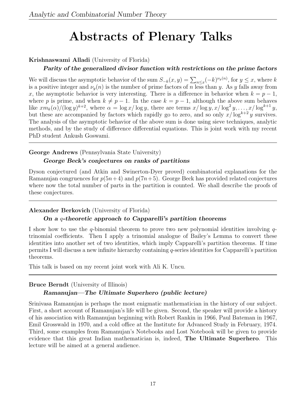# Abstracts of Plenary Talks

# Krishnaswami Alladi (University of Florida)

# Parity of the generalized divisor function with restrictions on the prime factors

We will discuss the asymptotic behavior of the sum  $S_{-k}(x, y) = \sum_{n \leq x} (-k)^{\nu_y(n)}$ , for  $y \leq x$ , where k is a positive integer and  $\nu_y(n)$  is the number of prime factors of n less than y. As y falls away from x, the asymptotic behavior is very interesting. There is a difference in behavior when  $k = p - 1$ , where p is prime, and when  $k \neq p - 1$ . In the case  $k = p - 1$ , although the above sum behaves like  $xm_k(\alpha)/(log y)^{k+2}$ , where  $\alpha = \log x/\log y$ , there are terms  $x/\log y$ ,  $x/\log^2 y$ , ...,  $x/\log^{k+1} y$ , but these are accompanied by factors which rapidly go to zero, and so only  $x/\log^{k+2} y$  survives. The analysis of the asymptotic behavior of the above sum is done using sieve techniques, analytic methods, and by the study of difference differential equations. This is joint work with my recent PhD student Ankush Goswami.

## George Andrews (Pennsylvania State University) George Beck's conjectures on ranks of partitions

Dyson conjectured (and Atkin and Swinerton-Dyer proved) combinatorial explanations for the Ramanujan congruences for  $p(5n+4)$  and  $p(7n+5)$ . George Beck has provided related conjectures where now the total number of parts in the partition is counted. We shall describe the proofs of these conjectures.

# Alexander Berkovich (University of Florida)

# On a q-theoretic approach to Capparelli's partition theorems

I show how to use the q-binomial theorem to prove two new polynomial identities involving  $q$ trinomial coefficients. Then I apply a trinomial analogue of Bailey's Lemma to convert these identities into another set of two identities, which imply Capparelli's partition theorems. If time permits I will discuss a new infinite hierarchy containing q-series identities for Capparelli's partition theorems.

This talk is based on my recent joint work with Ali K. Uncu.

## Bruce Berndt (University of Illinois)

# Ramanujan—The Ultimate Superhero (public lecture)

Srinivasa Ramanujan is perhaps the most enigmatic mathematician in the history of our subject. First, a short account of Ramanujan's life will be given. Second, the speaker will provide a history of his association with Ramanujan beginning with Robert Rankin in 1966, Paul Bateman in 1967, Emil Grosswald in 1970, and a cold office at the Institute for Advanced Study in February, 1974. Third, some examples from Ramanujan's Notebooks and Lost Notebook will be given to provide evidence that this great Indian mathematician is, indeed, The Ultimate Superhero. This lecture will be aimed at a general audience.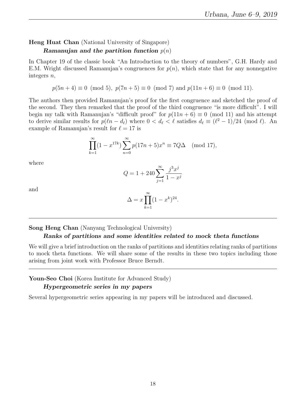# Heng Huat Chan (National University of Singapore) Ramanujan and the partition function  $p(n)$

In Chapter 19 of the classic book "An Introduction to the theory of numbers", G.H. Hardy and E.M. Wright discussed Ramanujan's congruences for  $p(n)$ , which state that for any nonnegative integers n,

$$
p(5n+4) \equiv 0 \pmod{5}
$$
,  $p(7n+5) \equiv 0 \pmod{7}$  and  $p(11n+6) \equiv 0 \pmod{11}$ .

The authors then provided Ramanujan's proof for the first congruence and sketched the proof of the second. They then remarked that the proof of the third congruence "is more difficult". I will begin my talk with Ramanujan's "difficult proof" for  $p(11n + 6) \equiv 0 \pmod{11}$  and his attempt to derive similar results for  $p(\ell n - d_{\ell})$  where  $0 < d_{\ell} < \ell$  satisfies  $d_{\ell} \equiv (\ell^2 - 1)/24 \pmod{\ell}$ . An example of Ramanujan's result for  $\ell = 17$  is

$$
\prod_{k=1}^{\infty} (1 - x^{17k}) \sum_{n=0}^{\infty} p(17n + 5) x^n \equiv 7Q\Delta \pmod{17},
$$

where

$$
Q = 1 + 240 \sum_{j=1}^{\infty} \frac{j^3 x^j}{1 - x^j}
$$

and

$$
\Delta = x \prod_{k=1}^{\infty} (1 - x^k)^{24}.
$$

Song Heng Chan (Nanyang Technological University)

#### Ranks of partitions and some identities related to mock theta functions

We will give a brief introduction on the ranks of partitions and identities relating ranks of partitions to mock theta functions. We will share some of the results in these two topics including those arising from joint work with Professor Bruce Berndt.

Youn-Seo Choi (Korea Institute for Advanced Study)

#### Hypergeometric series in my papers

Several hypergeometric series appearing in my papers will be introduced and discussed.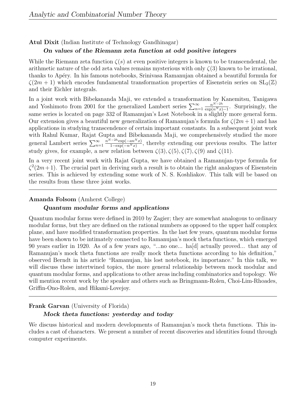#### Atul Dixit (Indian Institute of Technology Gandhinagar)

#### On values of the Riemann zeta function at odd positive integers

While the Riemann zeta function  $\zeta(s)$  at even positive integers is known to be transcendental, the arithmetic nature of the odd zeta values remains mysterious with only  $\zeta(3)$  known to be irrational, thanks to Ap´ery. In his famous notebooks, Srinivasa Ramanujan obtained a beautiful formula for  $\zeta(2m+1)$  which encodes fundamental transformation properties of Eisenstein series on  $SL_2(\mathbb{Z})$ and their Eichler integrals.

In a joint work with Bibekananda Maji, we extended a transformation by Kanemitsu, Tanigawa and Yoshimoto from 2001 for the generalized Lambert series  $\sum_{n=1}^{\infty}$  $n^{N-2h}$  $\frac{n^{N-2n}}{\exp(n^N x)-1}$ . Surprisingly, the same series is located on page 332 of Ramanujan's Lost Notebook in a slightly more general form. Our extension gives a beautiful new generalization of Ramanujan's formula for  $\zeta(2m+1)$  and has applications in studying transcendence of certain important constants. In a subsequent joint work with Rahul Kumar, Rajat Gupta and Bibekananda Maji, we comprehensively studied the more general Lambert series  $\sum_{n=1}^{\infty}$  $n^{N-2h}$ exp( $-an^N x$ )  $\frac{2\pi}{1-\exp(-n^N x)}$ , thereby extending our previous results. The latter study gives, for example, a new relation between  $\zeta(3), \zeta(5), \zeta(7), \zeta(9)$  and  $\zeta(11)$ .

In a very recent joint work with Rajat Gupta, we have obtained a Ramanujan-type formula for  $\zeta^2(2m+1)$ . The crucial part in deriving such a result is to obtain the right analogues of Eisenstein series. This is achieved by extending some work of N. S. Koshliakov. This talk will be based on the results from these three joint works.

#### Amanda Folsom (Amherst College)

#### Quantum modular forms and applications

Quantum modular forms were defined in 2010 by Zagier; they are somewhat analogous to ordinary modular forms, but they are defined on the rational numbers as opposed to the upper half complex plane, and have modified transformation properties. In the last few years, quantum modular forms have been shown to be intimately connected to Ramanujan's mock theta functions, which emerged 90 years earlier in 1920. As of a few years ago, "...no one... ha[d] actually proved... that any of Ramanujan's mock theta functions are really mock theta functions according to his definition," observed Berndt in his article "Ramanujan, his lost notebook, its importance." In this talk, we will discuss these intertwined topics, the more general relationship between mock modular and quantum modular forms, and applications to other areas including combinatorics and topology. We will mention recent work by the speaker and others such as Bringmann-Rolen, Choi-Lim-Rhoades, Griffin-Ono-Rolen, and Hikami-Lovejoy.

#### Frank Garvan (University of Florida)

#### Mock theta functions: yesterday and today

We discuss historical and modern developments of Ramanujan's mock theta functions. This includes a cast of characters. We present a number of recent discoveries and identities found through computer experiments.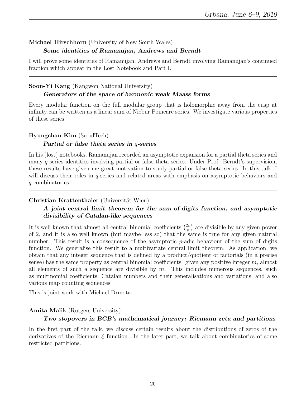# Michael Hirschhorn (University of New South Wales) Some identities of Ramanujan, Andrews and Berndt

I will prove some identities of Ramanujan, Andrews and Berndt involving Ramanujan's continued fraction which appear in the Lost Notebook and Part I.

## Soon-Yi Kang (Kangwon National University)

#### Generators of the space of harmonic weak Maass forms

Every modular function on the full modular group that is holomorphic away from the cusp at infinity can be written as a linear sum of Niebur Poincaré series. We investigate various properties of these series.

#### Byungchan Kim (SeoulTech)

#### Partial or false theta series in q-series

In his (lost) notebooks, Ramanujan recorded an asymptotic expansion for a partial theta series and many q-series identities involving partial or false theta series. Under Prof. Berndt's supervision, these results have given me great motivation to study partial or false theta series. In this talk, I will discuss their roles in  $q$ -series and related areas with emphasis on asymptotic behaviors and q-combinatorics.

## Christian Krattenthaler (Universität Wien)

# A joint central limit theorem for the sum-of-digits function, and asymptotic divisibility of Catalan-like sequences

It is well known that almost all central binomial coefficients  $\binom{2n}{n}$  $\binom{2n}{n}$  are divisible by any given power of 2, and it is also well known (but maybe less so) that the same is true for any given natural number. This result is a consequence of the asymptotic  $p$ -adic behaviour of the sum of digits function. We generalise this result to a multivariate central limit theorem. As application, we obtain that any integer sequence that is defined by a product/quotient of factorials (in a precise sense) has the same property as central binomial coefficients: given any positive integer  $m$ , almost all elements of such a sequence are divisible by  $m$ . This includes numerous sequences, such as multinomial coefficients, Catalan numbers and their generalisations and variations, and also various map counting sequences.

This is joint work with Michael Drmota.

## Amita Malik (Rutgers University)

## Two stopovers in BCB's mathematical journey: Riemann zeta and partitions

In the first part of the talk, we discuss certain results about the distributions of zeros of the derivatives of the Riemann  $\xi$  function. In the later part, we talk about combinatorics of some restricted partitions.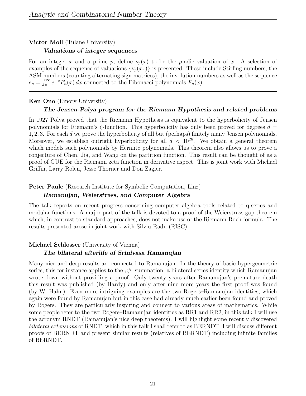# Victor Moll (Tulane University) Valuations of integer sequences

For an integer x and a prime p, define  $\nu_p(x)$  to be the p-adic valuation of x. A selection of examples of the sequence of valuations  $\{\nu_p(x_n)\}\$ is presented. These include Stirling numbers, the ASM numbers (counting alternating sign matrices), the involution numbers as well as the sequence  $e_n = \int_0^\infty e^{-x} F_n(x) dx$  connected to the Fibonacci polynomials  $F_n(x)$ .

#### Ken Ono (Emory University)

#### The Jensen-Polya program for the Riemann Hypothesis and related problems

In 1927 Polya proved that the Riemann Hypothesis is equivalent to the hyperbolicity of Jensen polynomials for Riemann's ξ-function. This hyperbolicity has only been proved for degrees  $d =$ 1, 2, 3. For each d we prove the hyperbolicity of all but (perhaps) finitely many Jensen polynomials. Moreover, we establish outright hyperbolicity for all  $d < 10^{26}$ . We obtain a general theorem which models such polynomials by Hermite polynomials. This theorem also allows us to prove a conjecture of Chen, Jia, and Wang on the partition function. This result can be thought of as a proof of GUE for the Riemann zeta function in derivative aspect. This is joint work with Michael Griffin, Larry Rolen, Jesse Thorner and Don Zagier.

#### Peter Paule (Research Institute for Symbolic Computation, Linz)

#### Ramanujan, Weierstrass, and Computer Algebra

The talk reports on recent progress concerning computer algebra tools related to q-series and modular functions. A major part of the talk is devoted to a proof of the Weierstrass gap theorem which, in contrast to standard approaches, does not make use of the Riemann-Roch formula. The results presented arose in joint work with Silviu Radu (RISC).

## Michael Schlosser (University of Vienna)

## The bilateral afterlife of Srinivasa Ramanujan

Many nice and deep results are connected to Ramanujan. In the theory of basic hypergeometric series, this for instance applies to the  $_1\psi_1$  summation, a bilateral series identity which Ramanujan wrote down without providing a proof. Only twenty years after Ramanujan's premature death this result was published (by Hardy) and only after nine more years the first proof was found (by W. Hahn). Even more intriguing examples are the two Rogers–Ramanujan identities, which again were found by Ramanujan but in this case had already much earlier been found and proved by Rogers. They are particularly inspiring and connect to various areas of mathematics. While some people refer to the two Rogers–Ramanujan identities as RR1 and RR2, in this talk I will use the acronym RNDT (Ramanujan's nice deep theorems). I will highlight some recently discovered bilateral extensions of RNDT, which in this talk I shall refer to as BERNDT. I will discuss different proofs of BERNDT and present similar results (relatives of BERNDT) including infinite families of BERNDT.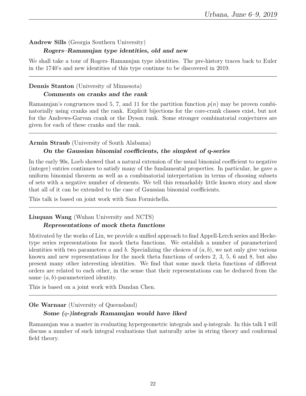#### Andrew Sills (Georgia Southern University)

#### Rogers–Ramanujan type identities, old and new

We shall take a tour of Rogers–Ramanujan type identities. The pre-history traces back to Euler in the 1740's and new identities of this type continue to be discovered in 2019.

#### Dennis Stanton (University of Minnesota)

#### Comments on cranks and the rank

Ramanujan's congruences mod 5, 7, and 11 for the partition function  $p(n)$  may be proven combinatorially using cranks and the rank. Explicit bijections for the core-crank classes exist, but not for the Andrews-Garvan crank or the Dyson rank. Some stronger combinatorial conjectures are given for each of these cranks and the rank.

#### Armin Straub (University of South Alabama)

#### On the Gaussian binomial coefficients, the simplest of q-series

In the early 90s, Loeb showed that a natural extension of the usual binomial coefficient to negative (integer) entries continues to satisfy many of the fundamental properties. In particular, he gave a uniform binomial theorem as well as a combinatorial interpretation in terms of choosing subsets of sets with a negative number of elements. We tell this remarkably little known story and show that all of it can be extended to the case of Gaussian binomial coefficients.

This talk is based on joint work with Sam Formichella.

## Liuquan Wang (Wuhan University and NCTS) Representations of mock theta functions

Motivated by the works of Liu, we provide a unified approach to find Appell-Lerch series and Hecketype series representations for mock theta functions. We establish a number of parameterized identities with two parameters a and b. Specializing the choices of  $(a, b)$ , we not only give various known and new representations for the mock theta functions of orders 2, 3, 5, 6 and 8, but also present many other interesting identities. We find that some mock theta functions of different orders are related to each other, in the sense that their representations can be deduced from the same  $(a, b)$ -parameterized identity.

This is based on a joint work with Dandan Chen.

#### Ole Warnaar (University of Queensland)

## Some (q-)integrals Ramanujan would have liked

Ramanujan was a master in evaluating hypergeometric integrals and q-integrals. In this talk I will discuss a number of such integral evaluations that naturally arise in string theory and conformal field theory.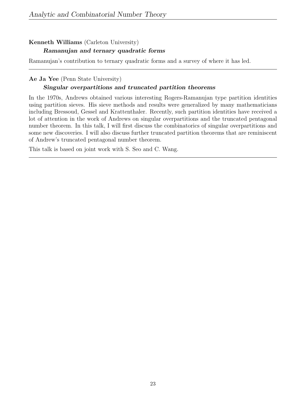# Kenneth Williams (Carleton University) Ramanujan and ternary quadratic forms

Ramanujan's contribution to ternary quadratic forms and a survey of where it has led.

### Ae Ja Yee (Penn State University)

### Singular overpartitions and truncated partition theorems

In the 1970s, Andrews obtained various interesting Rogers-Ramanujan type partition identities using partition sieves. His sieve methods and results were generalized by many mathematicians including Bressoud, Gessel and Krattenthaler. Recently, such partition identities have received a lot of attention in the work of Andrews on singular overpartitions and the truncated pentagonal number theorem. In this talk, I will first discuss the combinatorics of singular overpartitions and some new discoveries. I will also discuss further truncated partition theorems that are reminiscent of Andrew's truncated pentagonal number theorem.

This talk is based on joint work with S. Seo and C. Wang.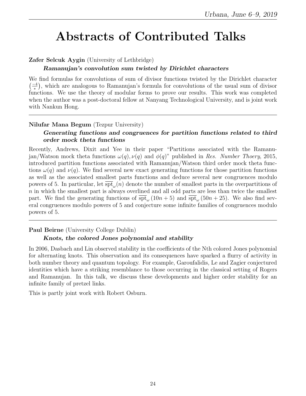# Abstracts of Contributed Talks

# Zafer Selcuk Aygin (University of Lethbridge)

#### Ramanujan's convolution sum twisted by Dirichlet characters

We find formulas for convolutions of sum of divisor functions twisted by the Dirichlet character  $\left(\frac{-4}{2}\right)$  $\frac{-4}{\ast}$ ), which are analogous to Ramanujan's formula for convolutions of the usual sum of divisor functions. We use the theory of modular forms to prove our results. This work was completed when the author was a post-doctoral fellow at Nanyang Technological University, and is joint work with Nankun Hong.

## Nilufar Mana Begum (Tezpur University)

# Generating functions and congruences for partition functions related to third order mock theta functions

Recently, Andrews, Dixit and Yee in their paper "Partitions associated with the Ramanujan/Watson mock theta functions  $\omega(q)$ ,  $\nu(q)$  and  $\phi(q)$ " published in Res. Number Thoery, 2015, introduced partition functions associated with Ramanujan/Watson third order mock theta functions  $\omega(q)$  and  $\nu(q)$ . We find several new exact generating functions for those partition functions as well as the associated smallest parts functions and deduce several new congruences modulo powers of 5. In particular, let  $\overline{\text{spt}}_{\omega}(n)$  denote the number of smallest parts in the overpartitions of  $n$  in which the smallest part is always overlined and all odd parts are less than twice the smallest part. We find the generating functions of  $\overline{\text{spt}}_{\omega}(10n+5)$  and  $\overline{\text{spt}}_{\omega}(50n+25)$ . We also find several congruences modulo powers of 5 and conjecture some infinite families of congruences modulo powers of 5.

Paul Beirne (University College Dublin)

# Knots, the colored Jones polynomial and stability

In 2006, Dasbach and Lin observed stability in the coefficients of the Nth colored Jones polynomial for alternating knots. This observation and its consequences have sparked a flurry of activity in both number theory and quantum topology. For example, Garoufalidis, Le and Zagier conjectured identities which have a striking resemblance to those occurring in the classical setting of Rogers and Ramanujan. In this talk, we discuss these developments and higher order stability for an infinite family of pretzel links.

This is partly joint work with Robert Osburn.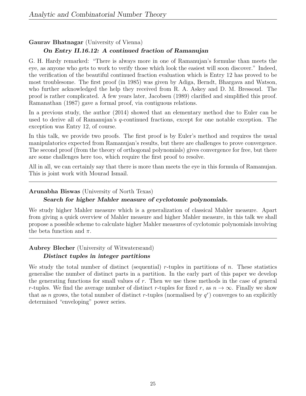Gaurav Bhatnagar (University of Vienna)

# On Entry II.16.12: A continued fraction of Ramanujan

G. H. Hardy remarked: "There is always more in one of Ramanujan's formulae than meets the eye, as anyone who gets to work to verify those which look the easiest will soon discover." Indeed, the verification of the beautiful continued fraction evaluation which is Entry 12 has proved to be most troublesome. The first proof (in 1985) was given by Adiga, Berndt, Bhargava and Watson, who further acknowledged the help they received from R. A. Askey and D. M. Bressoud. The proof is rather complicated. A few years later, Jacobsen (1989) clarified and simplified this proof. Ramanathan (1987) gave a formal proof, via contiguous relations.

In a previous study, the author (2014) showed that an elementary method due to Euler can be used to derive all of Ramanujan's q-continued fractions, except for one notable exception. The exception was Entry 12, of course.

In this talk, we provide two proofs. The first proof is by Euler's method and requires the usual manipulatorics expected from Ramanujan's results, but there are challenges to prove convergence. The second proof (from the theory of orthogonal polynomials) gives convergence for free, but there are some challenges here too, which require the first proof to resolve.

All in all, we can certainly say that there is more than meets the eye in this formula of Ramanujan. This is joint work with Mourad Ismail.

## Arunabha Biswas (University of North Texas)

### Search for higher Mahler measure of cyclotomic polynomials.

We study higher Mahler measure which is a generalization of classical Mahler measure. Apart from giving a quick overview of Mahler measure and higher Mahler measure, in this talk we shall propose a possible scheme to calculate higher Mahler measures of cyclotomic polynomials involving the beta function and  $\pi$ .

## Aubrey Blecher (University of Witwatersrand)

## Distinct tuples in integer partitions

We study the total number of distinct (sequential) r-tuples in partitions of n. These statistics generalise the number of distinct parts in a partition. In the early part of this paper we develop the generating functions for small values of  $r$ . Then we use these methods in the case of general r-tuples. We find the average number of distinct r-tuples for fixed r, as  $n \to \infty$ . Finally we show that as n grows, the total number of distinct r-tuples (normalised by  $q<sup>r</sup>$ ) converges to an explicitly determined "enveloping" power series.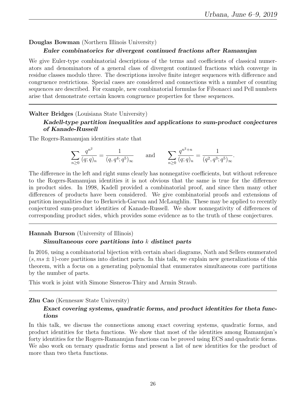.

#### Douglas Bowman (Northern Illinois University)

#### Euler combinatorics for divergent continued fractions after Ramanujan

We give Euler-type combinatorial descriptions of the terms and coefficients of classical numerators and denominators of a general class of divergent continued fractions which converge in residue classes modulo three. The descriptions involve finite integer sequences with difference and congruence restrictions. Special cases are considered and connections with a number of counting sequences are described. For example, new combinatorial formulas for Fibonacci and Pell numbers arise that demonstrate certain known congruence properties for these sequences.

#### Walter Bridges (Louisiana State University)

## Kadell-type partition inequalities and applications to sum-product conjectures of Kanade-Russell

The Rogers-Ramanujan identities state that

$$
\sum_{n\geq 0} \frac{q^{n^2}}{(q;q)_n} = \frac{1}{(q,q^4;q^5)_{\infty}} \quad \text{and} \quad \sum_{n\geq 0} \frac{q^{n^2+n}}{(q;q)_n} = \frac{1}{(q^2,q^3;q^5)_{\infty}}
$$

The difference in the left and right sums clearly has nonnegative coefficients, but without reference to the Rogers-Ramanujan identities it is not obvious that the same is true for the difference in product sides. In 1998, Kadell provided a combinatorial proof, and since then many other differences of products have been considered. We give combinatorial proofs and extensions of partition inequalities due to Berkovich-Garvan and McLaughlin. These may be applied to recently conjectured sum-product identities of Kanade-Russell. We show nonnegativity of differences of corresponding product sides, which provides some evidence as to the truth of these conjectures.

#### Hannah Burson (University of Illinois)

#### Simultaneous core partitions into  $k$  distinct parts

In 2016, using a combinatorial bijection with certain abaci diagrams, Nath and Sellers enumerated  $(s, ms \pm 1)$ -core partitions into distinct parts. In this talk, we explain new generalizations of this theorem, with a focus on a generating polynomial that enumerates simultaneous core partitions by the number of parts.

This work is joint with Simone Sisneros-Thiry and Armin Straub.

#### Zhu Cao (Kennesaw State University)

#### Exact covering systems, quadratic forms, and product identities for theta functions

In this talk, we discuss the connections among exact covering systems, quadratic forms, and product identities for theta functions. We show that most of the identities among Ramanujan's forty identities for the Rogers-Ramanujan functions can be proved using ECS and quadratic forms. We also work on ternary quadratic forms and present a list of new identities for the product of more than two theta functions.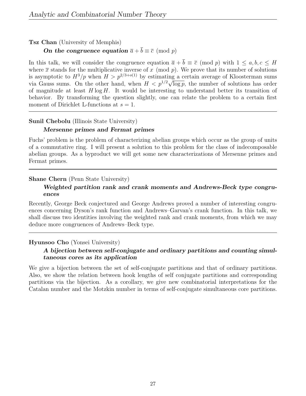Tsz Chan (University of Memphis)

On the congruence equation  $\bar{a} + \bar{b} \equiv \bar{c} \pmod{p}$ 

In this talk, we will consider the congruence equation  $\overline{a} + \overline{b} \equiv \overline{c} \pmod{p}$  with  $1 \leq a, b, c \leq H$ where  $\bar{x}$  stands for the multiplicative inverse of x (mod p). We prove that its number of solutions is asymptotic to  $H^3/p$  when  $H > p^{2/3+o(1)}$  by estimating a certain average of Kloosterman sums is asymptotic to  $H^2/p$  when  $H > p^{1/2+1+\epsilon/2}$  by estimating a certain average of Nioosterman sums<br>via Gauss sums. On the other hand, when  $H < p^{1/2}\sqrt{\log p}$ , the number of solutions has order of magnitude at least  $H \log H$ . It would be interesting to understand better its transition of behavior. By transforming the question slightly, one can relate the problem to a certain first moment of Dirichlet L-functions at  $s = 1$ .

## Sunil Chebolu (Illinois State University)

#### Mersenne primes and Fermat primes

Fuchs' problem is the problem of characterizing abelian groups which occur as the group of units of a commutative ring. I will present a solution to this problem for the class of indecomposable abelian groups. As a byproduct we will get some new characterizations of Mersenne primes and Fermat primes.

## Shane Chern (Penn State University)

# Weighted partition rank and crank moments and Andrews-Beck type congruences

Recently, George Beck conjectured and George Andrews proved a number of interesting congruences concerning Dyson's rank function and Andrews–Garvan's crank function. In this talk, we shall discuss two identities involving the weighted rank and crank moments, from which we may deduce more congruences of Andrews–Beck type.

## Hyunsoo Cho (Yonsei University)

# A bijection between self-conjugate and ordinary partitions and counting simultaneous cores as its application

We give a bijection between the set of self-conjugate partitions and that of ordinary partitions. Also, we show the relation between hook lengths of self conjugate partitions and corresponding partitions via the bijection. As a corollary, we give new combinatorial interpretations for the Catalan number and the Motzkin number in terms of self-conjugate simultaneous core partitions.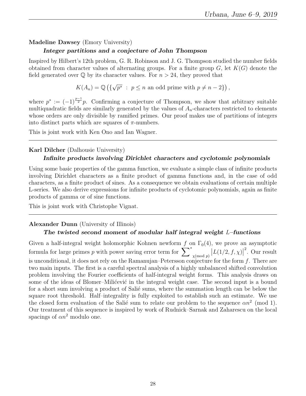# Madeline Dawsey (Emory University)

#### Integer partitions and a conjecture of John Thompson

Inspired by Hilbert's 12th problem, G. R. Robinson and J. G. Thompson studied the number fields obtained from character values of alternating groups. For a finite group  $G$ , let  $K(G)$  denote the field generated over  $\mathbb Q$  by its character values. For  $n > 24$ , they proved that

> $K(A_n) = \mathbb{Q}(\{$ √  $\overline{p^*}$ :  $p \leq n$  an odd prime with  $p \neq n-2$ ),

where  $p^* := (-1)^{\frac{p-1}{2}}p$ . Confirming a conjecture of Thompson, we show that arbitrary suitable multiquadratic fields are similarly generated by the values of  $A_n$ -characters restricted to elements whose orders are only divisible by ramified primes. Our proof makes use of partitions of integers into distinct parts which are squares of  $\pi$ -numbers.

This is joint work with Ken Ono and Ian Wagner.

#### Karl Dilcher (Dalhousie University)

## Infinite products involving Dirichlet characters and cyclotomic polynomials

Using some basic properties of the gamma function, we evaluate a simple class of infinite products involving Dirichlet characters as a finite product of gamma functions and, in the case of odd characters, as a finite product of sines. As a consequence we obtain evaluations of certain multiple L-series. We also derive expressions for infinite products of cyclotomic polynomials, again as finite products of gamma or of sine functions.

This is joint work with Christophe Vignat.

## Alexander Dunn (University of Illinois)

## The twisted second moment of modular half integral weight  $L$ –functions

Given a half-integral weight holomorphic Kohnen newform f on  $\Gamma_0(4)$ , we prove an asymptotic formula for large primes p with power saving error term for  $\sum_{\chi \pmod{p}}^* |L(1/2, f, \chi)|$ 2 . Our result is unconditional, it does not rely on the Ramanujan–Petersson conjecture for the form  $f$ . There are two main inputs. The first is a careful spectral analysis of a highly unbalanced shifted convolution problem involving the Fourier coefficients of half-integral weight forms. This analysis draws on some of the ideas of Blomer–Milićević in the integral weight case. The second input is a bound for a short sum involving a product of Salié sums, where the summation length can be below the square root threshold. Half–integrality is fully exploited to establish such an estimate. We use the closed form evaluation of the Salié sum to relate our problem to the sequence  $\alpha n^2 \pmod{1}$ . Our treatment of this sequence is inspired by work of Rudnick–Sarnak and Zaharescu on the local spacings of  $\alpha n^2$  modulo one.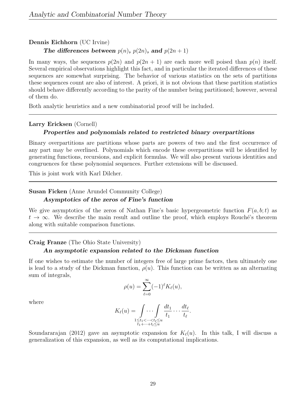#### Dennis Eichhorn (UC Irvine)

The differences between  $p(n)$ ,  $p(2n)$ , and  $p(2n + 1)$ 

In many ways, the sequences  $p(2n)$  and  $p(2n + 1)$  are each more well poised than  $p(n)$  itself. Several empirical observations highlight this fact, and in particular the iterated differences of these sequences are somewhat surprising. The behavior of various statistics on the sets of partitions these sequences count are also of interest. A priori, it is not obvious that these partition statistics should behave differently according to the parity of the number being partitioned; however, several of them do.

Both analytic heuristics and a new combinatorial proof will be included.

#### Larry Ericksen (Cornell)

#### Properties and polynomials related to restricted binary overpartitions

Binary overpartitions are partitions whose parts are powers of two and the first occurrence of any part may be overlined. Polynomials which encode these overpartitions will be identified by generating functions, recursions, and explicit formulas. We will also present various identities and congruences for these polynomial sequences. Further extensions will be discussed.

This is joint work with Karl Dilcher.

Susan Ficken (Anne Arundel Community College)

#### Asymptotics of the zeros of Fine's function

We give asymptotics of the zeros of Nathan Fine's basic hypergeometric function  $F(a, b; t)$  as  $t \to \infty$ . We describe the main result and outline the proof, which employs Rouché's theorem along with suitable comparison functions.

#### Craig Franze (The Ohio State University)

#### An asymptotic expansion related to the Dickman function

If one wishes to estimate the number of integers free of large prime factors, then ultimately one is lead to a study of the Dickman function,  $\rho(u)$ . This function can be written as an alternating sum of integrals,

$$
\rho(u) = \sum_{\ell=0}^{\infty} (-1)^{\ell} K_{\ell}(u),
$$

where

$$
K_{\ell}(u) = \int\limits_{\substack{1 \leq t_1 < \dots < t_{\ell} \leq u \\ t_1 + \dots + t_l \leq u}} \frac{dt_1}{t_1} \dots \frac{dt_{\ell}}{t_{\ell}}.
$$

Soundararajan (2012) gave an asymptotic expansion for  $K_{\ell}(u)$ . In this talk, I will discuss a generalization of this expansion, as well as its computational implications.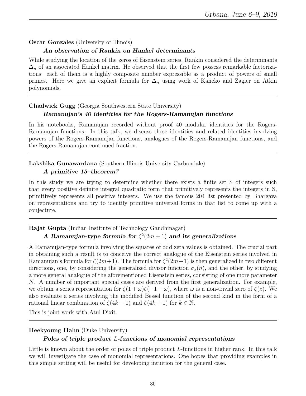## Oscar Gonzales (University of Illinois)

#### An observation of Rankin on Hankel determinants

While studying the location of the zeros of Eisenstein series, Rankin considered the determinants  $\Delta_n$  of an associated Hankel matrix. He observed that the first few possess remarkable factorizations: each of them is a highly composite number expressible as a product of powers of small primes. Here we give an explicit formula for  $\Delta_n$  using work of Kaneko and Zagier on Atkin polynomials.

#### Chadwick Gugg (Georgia Southwestern State University)

#### Ramanujan's 40 identities for the Rogers-Ramanujan functions

In his notebooks, Ramanujan recorded without proof 40 modular identities for the Rogers-Ramanujan functions. In this talk, we discuss these identities and related identities involving powers of the Rogers-Ramanujan functions, analogues of the Rogers-Ramanujan functions, and the Rogers-Ramanujan continued fraction.

# Lakshika Gunawardana (Southern Illinois University Carbondale)

#### A primitive 15–theorem?

In this study we are trying to determine whether there exists a finite set S of integers such that every positive definite integral quadratic form that primitively represents the integers in S, primitively represents all positive integers. We use the famous 204 list presented by Bhargava on representations and try to identify primitive universal forms in that list to come up with a conjecture.

Rajat Gupta (Indian Institute of Technology Gandhinagar)

# A Ramanujan-type formula for  $\zeta^2(2m+1)$  and its generalizations

A Ramanujan-type formula involving the squares of odd zeta values is obtained. The crucial part in obtaining such a result is to conceive the correct analogue of the Eisenstein series involved in Ramanujan's formula for  $\zeta(2m+1)$ . The formula for  $\zeta^2(2m+1)$  is then generalized in two different directions, one, by considering the generalized divisor function  $\sigma_z(n)$ , and the other, by studying a more general analogue of the aforementioned Eisenstein series, consisting of one more parameter N. A number of important special cases are derived from the first generalization. For example, we obtain a series representation for  $\zeta(1+\omega)\zeta(-1-\omega)$ , where  $\omega$  is a non-trivial zero of  $\zeta(z)$ . We also evaluate a series involving the modified Bessel function of the second kind in the form of a rational linear combination of  $\zeta(4k-1)$  and  $\zeta(4k+1)$  for  $k \in \mathbb{N}$ .

This is joint work with Atul Dixit.

## Heekyoung Hahn (Duke University)

## Poles of triple product L-functions of monomial representations

Little is known about the order of poles of triple product L-functions in higher rank. In this talk we will investigate the case of monomial representations. One hopes that providing examples in this simple setting will be useful for developing intuition for the general case.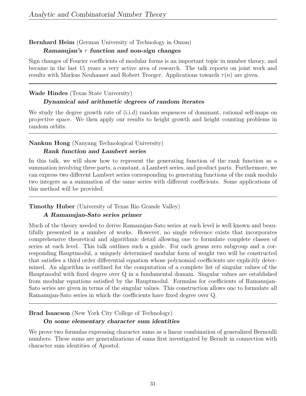# Bernhard Heim (German University of Technology in Oman)

#### Ramanujan's  $\tau$  function and non-sign changes

Sign changes of Fourier coefficients of modular forms is an important topic in number theory, and became in the last 15 years a very active area of research. The talk reports on joint work and results with Markus Neuhauser and Robert Troeger. Applications towards  $\tau(n)$  are given.

#### Wade Hindes (Texas State University)

## Dynamical and arithmetic degrees of random iterates

We study the degree growth rate of (i.i.d) random sequences of dominant, rational self-maps on projective space. We then apply our results to height growth and height counting problems in random orbits.

## Nankun Hong (Nanyang Technological University)

## Rank function and Lambert series

In this talk, we will show how to represent the generating function of the rank function as a summation involving three parts, a constant, a Lambert series, and product parts. Furthermore, we can express two different Lambert series corresponding to generating functions of the rank modulo two integers as a summation of the same series with different coefficients. Some applications of this method will be provided.

## Timothy Huber (University of Texas Rio Grande Valley)

## A Ramanujan-Sato series primer

Much of the theory needed to derive Ramanujan-Sato series at each level is well known and beautifully presented in a number of works. However, no single reference exists that incorporates comprehensive theoretical and algorithmic detail allowing one to formulate complete classes of series at each level. This talk outlines such a guide. For each genus zero subgroup and a corresponding Hauptmodul, a uniquely determined modular form of weight two will be constructed that satisfies a third order differential equation whose polynomial coefficients are explicitly determined. An algorithm is outlined for the computation of a complete list of singular values of the Hauptmodul with fixed degree over Q in a fundamental domain. Singular values are established from modular equations satisfied by the Hauptmodul. Formulas for coefficients of Ramanujan-Sato series are given in terms of the singular values. This construction allows one to formulate all Ramanujan-Sato series in which the coefficients have fixed degree over Q.

## Brad Isaacson (New York City College of Technology)

#### On some elementary character sum identities

We prove two formulas expressing character sums as a linear combination of generalized Bernoulli numbers. These sums are generalizations of sums first investigated by Berndt in connection with character sum identities of Apostol.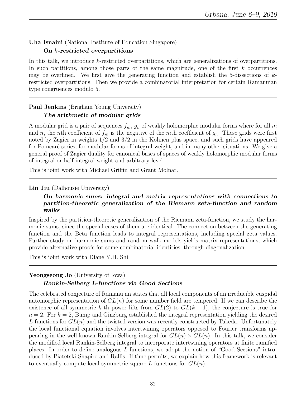## Uha Isnaini (National Institute of Education Singapore)

#### On k-restricted overpartitions

In this talk, we introduce k-restricted overpartitions, which are generalizations of overpartitions. In such partitions, among those parts of the same magnitude, one of the first  $k$  occurrences may be overlined. We first give the generating function and establish the 5-dissections of  $k$ restricted overpartitions. Then we provide a combinatorial interpretation for certain Ramanujan type congruences modulo 5.

# Paul Jenkins (Brigham Young University) The arithmetic of modular grids

A modular grid is a pair of sequences  $f_m$ ,  $g_n$  of weakly holomorphic modular forms where for all m and n, the nth coefficient of  $f_m$  is the negative of the mth coefficient of  $g_n$ . These grids were first noted by Zagier in weights 1/2 and 3/2 in the Kohnen plus space, and such grids have appeared for Poincaré series, for modular forms of integral weight, and in many other situations. We give a general proof of Zagier duality for canonical bases of spaces of weakly holomorphic modular forms of integral or half-integral weight and arbitrary level.

This is joint work with Michael Griffin and Grant Molnar.

#### Lin Jiu (Dalhousie University)

## On harmonic sums: integral and matrix representations with connections to partition-theoretic generalization of the Riemann zeta-function and random walks

Inspired by the partition-theoretic generalization of the Riemann zeta-function, we study the harmonic sums, since the special cases of them are identical. The connection between the generating function and the Beta function leads to integral representations, including special zeta values. Further study on harmonic sums and random walk models yields matrix representations, which provide alternative proofs for some combinatorial identities, through diagonalization.

This is joint work with Diane Y.H. Shi.

## Yeongseong Jo (University of Iowa)

# Rankin-Selberg L-functions via Good Sections

The celebrated conjecture of Ramanujan states that all local components of an irreducible cuspidal automorphic representation of  $GL(n)$  for some number field are tempered. If we can describe the existence of all symmetric k-th power lifts from  $GL(2)$  to  $GL(k+1)$ , the conjecture is true for  $n = 2$ . For  $k = 2$ , Bump and Ginzburg established the integral representation yielding the desired L-functions for  $GL(n)$  and the twisted version was recently constructed by Takeda. Unfortunately the local functional equation involves intertwining operators opposed to Fourier transforms appearing in the well-known Rankin-Selberg integral for  $GL(n) \times GL(n)$ . In this talk, we consider the modified local Rankin-Selberg integral to incorporate intertwining operators at finite ramified places. In order to define analogous L-functions, we adopt the notion of "Good Sections" introduced by Piatetski-Shapiro and Rallis. If time permits, we explain how this framework is relevant to eventually compute local symmetric square L-functions for  $GL(n)$ .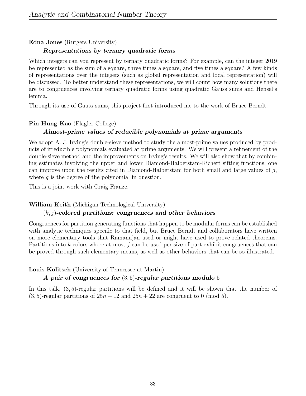Edna Jones (Rutgers University)

# Representations by ternary quadratic forms

Which integers can you represent by ternary quadratic forms? For example, can the integer 2019 be represented as the sum of a square, three times a square, and five times a square? A few kinds of representations over the integers (such as global representation and local representation) will be discussed. To better understand these representations, we will count how many solutions there are to congruences involving ternary quadratic forms using quadratic Gauss sums and Hensel's lemma.

Through its use of Gauss sums, this project first introduced me to the work of Bruce Berndt.

# Pin Hung Kao (Flagler College) Almost-prime values of reducible polynomials at prime arguments

We adopt A. J. Irving's double-sieve method to study the almost-prime values produced by products of irreducible polynomials evaluated at prime arguments. We will present a refinement of the double-sieve method and the improvements on Irving's results. We will also show that by combining estimates involving the upper and lower Diamond-Halberstam-Richert sifting functions, one can improve upon the results cited in Diamond-Halberstam for both small and large values of  $g$ , where  $g$  is the degree of the polynomial in question.

This is a joint work with Craig Franze.

# William Keith (Michigan Technological University)

# $(k, j)$ -colored partitions: congruences and other behaviors

Congruences for partition generating functions that happen to be modular forms can be established with analytic techniques specific to that field, but Bruce Berndt and collaborators have written on more elementary tools that Ramanujan used or might have used to prove related theorems. Partitions into  $k$  colors where at most  $j$  can be used per size of part exhibit congruences that can be proved through such elementary means, as well as other behaviors that can be so illustrated.

Louis Kolitsch (University of Tennessee at Martin)

# A pair of congruences for  $(3, 5)$ -regular partitions modulo 5

In this talk, (3, 5)-regular partitions will be defined and it will be shown that the number of  $(3, 5)$ -regular partitions of  $25n + 12$  and  $25n + 22$  are congruent to 0 (mod 5).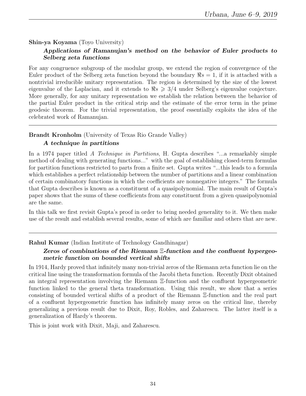### Shin-ya Koyama (Toyo University)

### Applications of Ramanujan's method on the behavior of Euler products to Selberg zeta functions

For any congruence subgroup of the modular group, we extend the region of convergence of the Euler product of the Selberg zeta function beyond the boundary  $\Re s = 1$ , if it is attached with a nontrivial irreducible unitary representation. The region is determined by the size of the lowest eigenvalue of the Laplacian, and it extends to  $\Re s \geq 3/4$  under Selberg's eigenvalue conjecture. More generally, for any unitary representation we establish the relation between the behavior of the partial Euler product in the critical strip and the estimate of the error term in the prime geodesic theorem. For the trivial representation, the proof essentially exploits the idea of the celebrated work of Ramanujan.

#### Brandt Kronholm (University of Texas Rio Grande Valley)

#### A technique in partitions

In a 1974 paper titled A Technique in Partitions, H. Gupta describes "...a remarkably simple method of dealing with generating functions..." with the goal of establishing closed-term formulas for partition functions restricted to parts from a finite set. Gupta writes "...this leads to a formula which establishes a perfect relationship between the number of partitions and a linear combination of certain combinatory functions in which the coefficients are nonnegative integers." The formula that Gupta describes is known as a constituent of a quasipolynomial. The main result of Gupta's paper shows that the sums of these coefficients from any constituent from a given quasipolynomial are the same.

In this talk we first revisit Gupta's proof in order to bring needed generality to it. We then make use of the result and establish several results, some of which are familiar and others that are new.

#### Rahul Kumar (Indian Institute of Technology Gandhinagar)

## Zeros of combinations of the Riemann Ξ-function and the confluent hypergeometric function on bounded vertical shifts

In 1914, Hardy proved that infinitely many non-trivial zeros of the Riemann zeta function lie on the critical line using the transformation formula of the Jacobi theta function. Recently Dixit obtained an integral representation involving the Riemann Ξ-function and the confluent hypergeometric function linked to the general theta transformation. Using this result, we show that a series consisting of bounded vertical shifts of a product of the Riemann Ξ-function and the real part of a confluent hypergeometric function has infinitely many zeros on the critical line, thereby generalizing a previous result due to Dixit, Roy, Robles, and Zaharescu. The latter itself is a generalization of Hardy's theorem.

This is joint work with Dixit, Maji, and Zaharescu.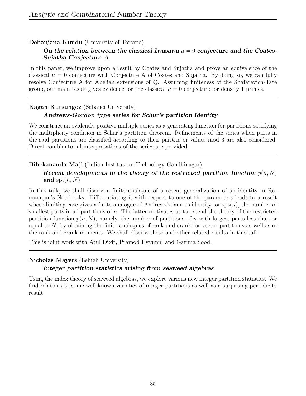# Debanjana Kundu (University of Toronto)

# On the relation between the classical Iwasawa  $\mu = 0$  conjecture and the Coates-Sujatha Conjecture A

In this paper, we improve upon a result by Coates and Sujatha and prove an equivalence of the classical  $\mu = 0$  conjecture with Conjecture A of Coates and Sujatha. By doing so, we can fully resolve Conjecture A for Abelian extensions of Q. Assuming finiteness of the Shafarevich-Tate group, our main result gives evidence for the classical  $\mu = 0$  conjecture for density 1 primes.

## Kagan Kursungoz (Sabanci University)

# Andrews-Gordon type series for Schur's partition identity

We construct an evidently positive multiple series as a generating function for partitions satisfying the multiplicity condition in Schur's partition theorem. Refinements of the series when parts in the said partitions are classified according to their parities or values mod 3 are also considered. Direct combinatorial interpretations of the series are provided.

## Bibekananda Maji (Indian Institute of Technology Gandhinagar)

# Recent developments in the theory of the restricted partition function  $p(n, N)$ and  $\text{spt}(n, N)$

In this talk, we shall discuss a finite analogue of a recent generalization of an identity in Ramanujan's Notebooks. Differentiating it with respect to one of the parameters leads to a result whose limiting case gives a finite analogue of Andrews's famous identity for  $spt(n)$ , the number of smallest parts in all partitions of n. The latter motivates us to extend the theory of the restricted partition function  $p(n, N)$ , namely, the number of partitions of n with largest parts less than or equal to N, by obtaining the finite analogues of rank and crank for vector partitions as well as of the rank and crank moments. We shall discuss these and other related results in this talk.

This is joint work with Atul Dixit, Pramod Eyyunni and Garima Sood.

## Nicholas Mayers (Lehigh University)

## Integer partition statistics arising from seaweed algebras

Using the index theory of seaweed algebras, we explore various new integer partition statistics. We find relations to some well-known varieties of integer partitions as well as a surprising periodicity result.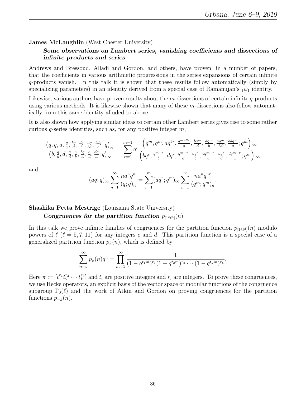James McLaughlin (West Chester University)

# Some observations on Lambert series, vanishing coefficients and dissections of infinite products and series

Andrews and Bressoud, Alladi and Gordon, and others, have proven, in a number of papers, that the coefficients in various arithmetic progressions in the series expansions of certain infinite q-products vanish. In this talk it is shown that these results follow automatically (simply by specializing parameters) in an identity derived from a special case of Ramanujan's  $_1\psi_1$  identity.

Likewise, various authors have proven results about the m-dissections of certain infinite q-products using various methods. It is likewise shown that many of these  $m$ -dissections also follow automatically from this same identity alluded to above.

It is also shown how applying similar ideas to certain other Lambert series gives rise to some rather curious  $q$ -series identities, such as, for any positive integer  $m$ ,

$$
\frac{\left(q,q,a,\frac{q}{a},\frac{bq}{d},\frac{dq}{b},\frac{aq}{bd},\frac{bdq}{a};q\right)_{\infty}}{\left(b,\frac{q}{b},d,\frac{q}{d},\frac{a}{b},\frac{bq}{a},\frac{a}{d},\frac{dq}{d};q\right)_{\infty}} = \sum_{r=0}^{m-1} q^r \frac{\left(q^m,q^m,aq^{2r},\frac{q^{m-2r}}{a},\frac{bq^m}{d},\frac{dq^m}{b},\frac{aq^m}{b},\frac{bdq^m}{ad};q^m\right)_{\infty}}{\left(bq^r,\frac{q^{m-r}}{b},dq^r,\frac{q^{m-r}}{d},\frac{aq^r}{b},\frac{bq^{m-r}}{a},\frac{aq^r}{d},\frac{dq^{m-r}}{a};q^m\right)_{\infty}}
$$

and

$$
(aq;q)_{\infty} \sum_{n=1}^{\infty} \frac{na^n q^n}{(q;q)_n} = \sum_{r=1}^m (aq^r;q^m)_{\infty} \sum_{n=1}^{\infty} \frac{na^n q^{nr}}{(q^m;q^m)_n}.
$$

Shashika Petta Mestrige (Louisiana State University)

Congruences for the partition function  $p_{[1c\ell d]}(n)$ 

In this talk we prove infinite families of congruences for the partition function  $p_{[1c\ell d]}(n)$  modulo powers of  $\ell$  ( $\ell = 5, 7, 11$ ) for any integers c and d. This partition function is a special case of a generalized partition function  $p_{\pi}(n)$ , which is defined by

$$
\sum_{n=0}^{\infty} p_{\pi}(n) q^{n} = \prod_{m=1}^{\infty} \frac{1}{(1 - q^{t_1 m})^{r_1} (1 - q^{t_2 m})^{r_2} \cdots (1 - q^{t_k m})^{r_k}}.
$$

Here  $\pi := [t_1^{r_1} t_2^{r_2} \cdots t_k^{r_k}]$  and  $t_i$  are positive integers and  $r_i$  are integers. To prove these congruences, we use Hecke operators, an explicit basis of the vector space of modular functions of the congruence subgroup  $\Gamma_0(\ell)$  and the work of Atkin and Gordon on proving congruences for the partition functions  $p_{-k}(n)$ .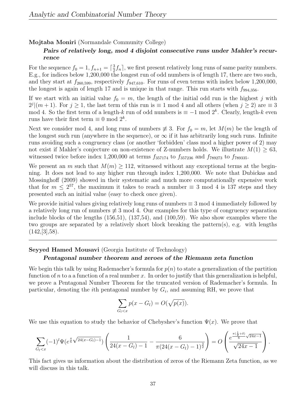Mojtaba Moniri (Normandale Community College)

# Pairs of relatively long, mod 4 disjoint consecutive runs under Mahler's recurrence

For the sequence  $f_0 = 1, f_{n+1} = \lceil \frac{3}{2} \rceil$  $\frac{3}{2}f_n$ , we first present relatively long runs of same parity numbers. E.g., for indices below 1,200,000 the longest run of odd numbers is of length 17, there are two such, and they start at  $f_{260,599}$ , respectively  $f_{947,610}$ . For runs of even terms with index below 1,200,000, the longest is again of length 17 and is unique in that range. This run starts with  $f_{994,356}$ .

If we start with an initial value  $f_0 = m$ , the length of the initial odd run is the highest j with  $2^{j}$ [ $(m+1)$ . For  $j \geq 1$ , the last term of this run is  $\equiv 1 \mod 4$  and all others (when  $j \geq 2$ ) are  $\equiv 3$ mod 4. So the first term of a length-k run of odd numbers is  $\equiv -1 \mod 2^k$ . Clearly, length-k even runs have their first term  $\equiv 0 \mod 2^k$ .

Next we consider mod 4, and long runs of numbers  $\neq 3$ . For  $f_0 = m$ , let  $M(m)$  be the length of the longest such run (anywhere in the sequence), or  $\infty$  if it has arbitrarily long such runs. Infinite runs avoiding such a congruency class (or another 'forbidden' class mod a higher power of 2) may not exist if Mahler's conjecture on non-existence of Z-numbers holds. We illustrate  $M(1) \geq 63$ , witnessed twice before index 1,200,000 at terms  $f_{357174}$  to  $f_{357236}$  and  $f_{789273}$  to  $f_{789335}$ .

We present an m such that  $M(m) \geq 112$ , witnessed without any exceptional terms at the beginning. It does not lead to any higher run through index 1,200,000. We note that Dubickas and Mossinghoff (2009) showed in their systematic and much more computationally expensive work that for  $m \leq 2^{57}$ , the maximum it takes to reach a number  $\equiv 3 \mod 4$  is 137 steps and they presented such an initial value (easy to check once given).

We provide initial values giving relatively long runs of numbers  $\equiv 3 \mod 4$  immediately followed by a relatively long run of numbers  $\neq 3 \mod 4$ . Our examples for this type of congruency separation include blocks of the lengths (156,51), (137,54), and (100,59). We also show examples where the two groups are separated by a relatively short block breaking the pattern(s), e.g. with lengths  $(142, [3], 58)$ .

#### Seyyed Hamed Mousavi (Georgia Institute of Technology)

#### Pentagonal number theorem and zeroes of the Riemann zeta function

We begin this talk by using Rademacher's formula for  $p(n)$  to state a generalization of the partition function of n to a a function of a real number x. In order to justify that this generalization is helpful, we prove a Pentagonal Number Theorem for the truncated version of Rademacher's formula. In particular, denoting the *i*<sup>th</sup> pentagonal number by  $G_i$ , and assuming RH, we prove that

$$
\sum_{G_l < x} p(x - G_l) = O(\sqrt{p(x)}).
$$

We use this equation to study the behavior of Chebyshev's function  $\Psi(x)$ . We prove that

$$
\sum_{G_l < x} (-1)^l \Psi(e^{\frac{\pi}{6}\sqrt{24(x - G_l) - 1}}) \left( \frac{1}{24(x - G_l) - 1} - \frac{6}{\pi (24(x - G_l) - 1)^{\frac{3}{2}}} \right) = O\left(\frac{e^{\frac{\pi(\frac{1}{2} + \delta)}{6}\sqrt{24x - 1}}}{\sqrt{24x - 1}}\right).
$$

This fact gives us information about the distribution of zeros of the Riemann Zeta function, as we will discuss in this talk.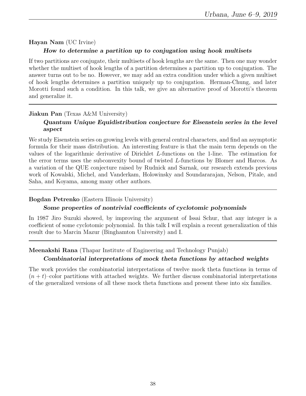# Hayan Nam (UC Irvine) How to determine a partition up to conjugation using hook multisets

If two partitions are conjugate, their multisets of hook lengths are the same. Then one may wonder whether the multiset of hook lengths of a partition determines a partition up to conjugation. The answer turns out to be no. However, we may add an extra condition under which a given multiset of hook lengths determines a partition uniquely up to conjugation. Herman-Chung, and later Morotti found such a condition. In this talk, we give an alternative proof of Morotti's theorem and generalize it.

# Jiakun Pan (Texas A&M University) Quantum Unique Equidistribution conjecture for Eisenstein series in the level aspect

We study Eisenstein series on growing levels with general central characters, and find an asymptotic formula for their mass distribution. An interesting feature is that the main term depends on the values of the logarithmic derivative of Dirichlet L-functions on the 1-line. The estimation for the error terms uses the subconvexity bound of twisted L-functions by Blomer and Harcos. As a variation of the QUE conjecture raised by Rudnick and Sarnak, our research extends previous work of Kowalski, Michel, and Vanderkam, Holowinsky and Soundararajan, Nelson, Pitale, and Saha, and Koyama, among many other authors.

### Bogdan Petrenko (Eastern Illinois University)

## Some properties of nontrivial coefficients of cyclotomic polynomials

In 1987 Jiro Suzuki showed, by improving the argument of Issai Schur, that any integer is a coefficient of some cyclotomic polynomial. In this talk I will explain a recent generalization of this result due to Marcin Mazur (Binghamton University) and I.

# Meenakshi Rana (Thapar Institute of Engineering and Technology Punjab)

## Combinatorial interpretations of mock theta functions by attached weights

The work provides the combinatorial interpretations of twelve mock theta functions in terms of  $(n + t)$ –color partitions with attached weights. We further discuss combinatorial interpretations of the generalized versions of all these mock theta functions and present these into six families.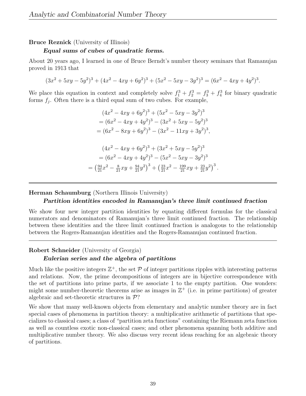#### Bruce Reznick (University of Illinois)

#### Equal sums of cubes of quadratic forms.

About 20 years ago, I learned in one of Bruce Berndt's number theory seminars that Ramanujan proved in 1913 that

$$
(3x2 + 5xy - 5y2)3 + (4x2 - 4xy + 6y2)3 + (5x2 - 5xy - 3y2)3 = (6x2 - 4xy + 4y2)3.
$$

We place this equation in context and completely solve  $f_1^3 + f_2^3 = f_3^3 + f_4^3$  for binary quadratic forms  $f_j$ . Often there is a third equal sum of two cubes. For example,

$$
(4x2 - 4xy + 6y2)3 + (5x2 - 5xy - 3y2)3
$$
  
=  $(6x2 - 4xy + 4y2)3 - (3x2 + 5xy - 5y2)3$   
=  $(6x2 - 8xy + 6y2)3 - (3x2 - 11xy + 3y2)3$ ,  
 $(4x2 - 4xy + 6y2)3 + (3x2 + 5xy - 5y2)3$   
=  $(6x2 - 4xy + 4y2)3 - (5x2 - 5xy - 3y2)3$   
=  $(\frac{94}{21}x2 - \frac{8}{21}xy + \frac{94}{21}y2)3 + (\frac{23}{21}x2 - \frac{199}{21}xy + \frac{23}{21}y2)3$ 

#### Herman Schaumburg (Northern Illinois University)

#### Partition identities encoded in Ramanujan's three limit continued fraction

.

We show four new integer partition identities by equating different formulas for the classical numerators and denominators of Ramanujan's three limit continued fraction. The relationship between these identities and the three limit continued fraction is analogous to the relationship between the Rogers-Ramanujan identities and the Rogers-Ramanujan continued fraction.

#### Robert Schneider (University of Georgia)

#### Eulerian series and the algebra of partitions

Much like the positive integers  $\mathbb{Z}^+$ , the set  $\mathcal P$  of integer partitions ripples with interesting patterns and relations. Now, the prime decompositions of integers are in bijective correspondence with the set of partitions into prime parts, if we associate 1 to the empty partition. One wonders: might some number-theoretic theorems arise as images in  $\mathbb{Z}^+$  (i.e. in prime partitions) of greater algebraic and set-theoretic structures in  $\mathcal{P}$ ?

We show that many well-known objects from elementary and analytic number theory are in fact special cases of phenomena in partition theory: a multiplicative arithmetic of partitions that specializes to classical cases; a class of "partition zeta functions" containing the Riemann zeta function as well as countless exotic non-classical cases; and other phenomena spanning both additive and multiplicative number theory. We also discuss very recent ideas reaching for an algebraic theory of partitions.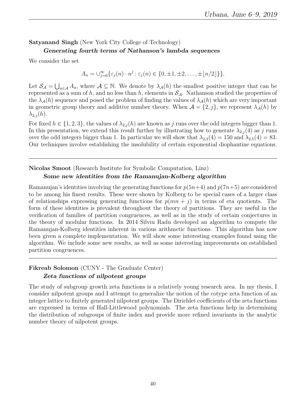# Satyanand Singh (New York City College of Technology)

#### Generating fourth terms of Nathanson's lambda sequences

We consider the set

$$
A_n = \bigcup_{j=0}^{\infty} \{ \varepsilon_j(n) \cdot n^j : \varepsilon_j(n) \in \{0, \pm 1, \pm 2, \dots, \pm \lfloor n/2 \rfloor \} \}.
$$

Let  $S_{\mathcal{A}} = \bigcup_{a \in \mathcal{A}} A_a$ , where  $\mathcal{A} \subseteq \mathbb{N}$ . We denote by  $\lambda_{\mathcal{A}}(h)$  the smallest positive integer that can be represented as a sum of h, and no less than h, elements in  $S_A$ . Nathanson studied the properties of the  $\lambda_{\mathcal{A}}(h)$  sequence and posed the problem of finding the values of  $\lambda_{\mathcal{A}}(h)$  which are very important in geometric group theory and additive number theory. When  $\mathcal{A} = \{2, j\}$ , we represent  $\lambda_{\mathcal{A}}(h)$  by  $\lambda_{2,j}(h)$ .

For fixed  $h \in \{1,2,3\}$ , the values of  $\lambda_{2,j}(h)$  are known as j runs over the odd integers bigger than 1. In this presentation, we extend this result further by illustrating how to generate  $\lambda_{2,i}(4)$  as j runs over the odd integers bigger than 1. In particular we will show that  $\lambda_{2,3}(4) = 150$  and  $\lambda_{2,5}(4) = 83$ . Our techniques involve establishing the insolubility of certain exponential diophantine equations.

#### Nicolas Smoot (Research Institute for Symbolic Computation, Linz) Some new identities from the Ramanujan-Kolberg algorithm

Ramanujan's identities involving the generating functions for  $p(5n+4)$  and  $p(7n+5)$  are considered to be among his finest results. These were shown by Kolberg to be special cases of a larger class of relationships expressing generating functions for  $p(mn + j)$  in terms of eta quotients. The form of these identities is prevalent throughout the theory of partitions. They are useful in the verification of families of partition congruences, as well as in the study of certain conjectures in the theory of modular functions. In 2014 Silviu Radu developed an algorithm to compute the Ramanujan-Kolberg identities inherent in various arithmetic functions. This algorithm has now been given a complete implementation. We will show some interesting examples found using the algorithm. We include some new results, as well as some interesting improvements on established partition congruences.

# Fikreab Solomon (CUNY - The Graduate Center) Zeta functions of nilpotent groups

The study of subgroup growth zeta functions is a relatively young research area. In my thesis, I consider nilpotent groups and I attempt to generalize the notion of the cotype zeta function of an integer lattice to finitely generated nilpotent groups. The Dirichlet coefficients of the zeta functions are expressed in terms of Hall-Littlewood polynomials. The zeta functions help in determining the distribution of subgroups of finite index and provide more refined invariants in the analytic number theory of nilpotent groups.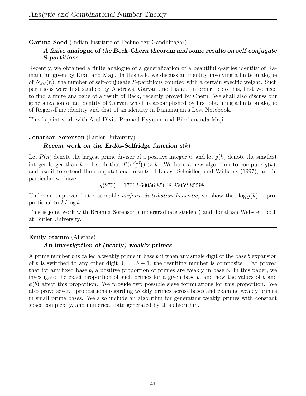Garima Sood (Indian Institute of Technology Gandhinagar)

# A finite analogue of the Beck-Chern theorem and some results on self-conjugate S-partitions

Recently, we obtained a finite analogue of a generalization of a beautiful q-series identity of Ramanujan given by Dixit and Maji. In this talk, we discuss an identity involving a finite analogue of  $N_{SC}(n)$ , the number of self-conjugate S-partitions counted with a certain specific weight. Such partitions were first studied by Andrews, Garvan and Liang. In order to do this, first we need to find a finite analogue of a result of Beck, recently proved by Chern. We shall also discuss our generalization of an identity of Garvan which is accomplished by first obtaining a finite analogue of Rogers-Fine identity and that of an identity in Ramanujan's Lost Notebook.

This is joint work with Atul Dixit, Pramod Eyyunni and Bibekananda Maji.

# Jonathan Sorenson (Butler University)

# Recent work on the Erdős-Selfridge function  $g(k)$

Let  $P(n)$  denote the largest prime divisor of a positive integer n, and let  $g(k)$  denote the smallest integer larger than  $k+1$  such that  $P({\binom{g(k)}{k}})$  $(k)$ ) > k. We have a new algorithm to compute  $g(k)$ , and use it to extend the computational results of Lukes, Scheidler, and Williams (1997), and in particular we have

 $q(270) = 17012\ 60056\ 85638\ 85052\ 85598.$ 

Under an unproven but reasonable *uniform distribution heuristic*, we show that  $\log q(k)$  is proportional to  $k/\log k$ .

This is joint work with Brianna Sorenson (undergraduate student) and Jonathan Webster, both at Butler University.

# Emily Stamm (Allstate)

# An investigation of (nearly) weakly primes

A prime number  $p$  is called a weakly prime in base  $b$  if when any single digit of the base  $b$  expansion of b is switched to any other digit  $0, \ldots, b-1$ , the resulting number is composite. Tao proved that for any fixed base  $b$ , a positive proportion of primes are weakly in base  $b$ . In this paper, we investigate the exact proportion of such primes for a given base  $b$ , and how the values of  $b$  and  $\phi(b)$  affect this proportion. We provide two possible sieve formulations for this proportion. We also prove several propositions regarding weakly primes across bases and examine weakly primes in small prime bases. We also include an algorithm for generating weakly primes with constant space complexity, and numerical data generated by this algorithm.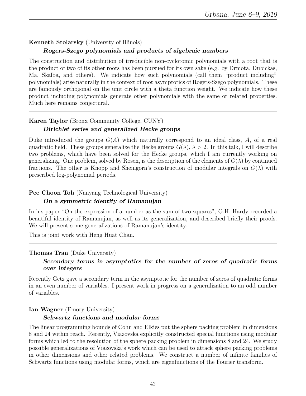## Kenneth Stolarsky (University of Illinois)

#### Rogers-Szego polynomials and products of algebraic numbers

The construction and distribution of irreducible non-cyclotomic polynomials with a root that is the product of two of its other roots has been pursued for its own sake (e.g. by Drmota, Dubickas, Ma, Skalba, and others). We indicate how such polynomials (call them "product including" polynomials) arise naturally in the context of root asymptotics of Rogers-Szego polynomials. These are famously orthogonal on the unit circle with a theta function weight. We indicate how these product including polynomials generate other polynomials with the same or related properties. Much here remains conjectural.

## Karen Taylor (Bronx Community College, CUNY) Dirichlet series and generalized Hecke groups

Duke introduced the groups  $G(A)$  which naturally correspond to an ideal class, A, of a real quadratic field. These groups generalize the Hecke groups  $G(\lambda)$ ,  $\lambda > 2$ . In this talk, I will describe two problems, which have been solved for the Hecke groups, which I am currently working on generalizing. One problem, solved by Rosen, is the description of the elements of  $G(\lambda)$  by continued fractions. The other is Knopp and Sheingorn's construction of modular integrals on  $G(\lambda)$  with prescribed log-polynomial periods.

#### Pee Choon Toh (Nanyang Technological University)

#### On a symmetric identity of Ramanujan

In his paper "On the expression of a number as the sum of two squares", G.H. Hardy recorded a beautiful identity of Ramanujan, as well as its generalization, and described briefly their proofs. We will present some generalizations of Ramanujan's identity.

This is joint work with Heng Huat Chan.

#### Thomas Tran (Duke University)

#### Secondary terms in asymptotics for the number of zeros of quadratic forms over integers

Recently Getz gave a secondary term in the asymptotic for the number of zeros of quadratic forms in an even number of variables. I present work in progress on a generalization to an odd number of variables.

#### Ian Wagner (Emory University)

#### Schwartz functions and modular forms

The linear programming bounds of Cohn and Elkies put the sphere packing problem in dimensions 8 and 24 within reach. Recently, Viazovska explicitly constructed special functions using modular forms which led to the resolution of the sphere packing problem in dimensions 8 and 24. We study possible generalizations of Viazovska's work which can be used to attack sphere packing problems in other dimensions and other related problems. We construct a number of infinite families of Schwartz functions using modular forms, which are eigenfunctions of the Fourier transform.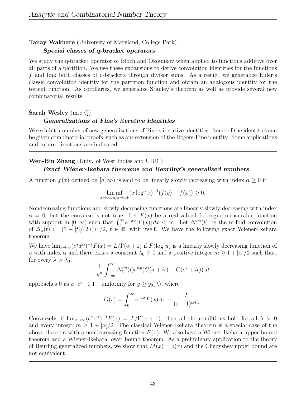# Tanay Wakhare (University of Maryland, College Park)

#### Special classes of q-bracket operators

We study the q-bracket operator of Bloch and Okounkov when applied to functions additive over all parts of a partition. We use these expansions to derive convolution identities for the functions f and link both classes of q-brackets through divisor sums. As a result, we generalize Euler's classic convolution identity for the partition function and obtain an analogous identity for the totient function. As corollaries, we generalize Stanley's theorem as well as provide several new combinatorial results.

#### Sarah Wesley (inte Q)

#### Generalizations of Fine's iterative identities

We exhibit a number of new generalizations of Fine's iterative identities. Some of the identities can be given combinatorial proofs, such as our extension of the Rogers-Fine identity. Some applications and future directions are indicated.

#### Wen-Bin Zhang (Univ. of West Indies and UIUC) Exact Wiener-Ikehara theorems and Beurling's generalized numbers

A function  $f(x)$  defined on  $[a,\infty)$  is said to be linearly slowly decreasing with index  $\alpha \geq 0$  if

$$
\liminf_{x \to \infty, y/x \to 1+} (x \log^{\alpha} x)^{-1} (f(y) - f(x)) \ge 0.
$$

Nondecreasing functions and slowly decreasing functions are linearly slowly decreasing with index  $\alpha = 0$ , but the converse is not true. Let  $F(x)$  be a real-valued Lebesgue measurable function with support in  $[0,\infty)$  such that  $\int_0^\infty e^{-\sigma x} |F(x)| dx < \infty$ . Let  $\Delta^{*m}(t)$  be the m-fold convolution of  $\Delta_{\lambda}(t) := (1 - |t|/(2\lambda))^{+}/2$ ,  $t \in \mathbb{R}$ , with itself. We have the following exact Wiener-Ikehara theorem.

We have  $\lim_{x\to\infty} (e^x x^{\alpha})^{-1} F(x) = L/\Gamma(\alpha+1)$  if  $F(\log u)$  is a linearly slowly decreasing function of u with index  $\alpha$  and there exists a constant  $\lambda_0 \geq 0$  and a positive integer  $m \geq 1 + |\alpha|/2$  such that, for every  $\lambda > \lambda_0$ ,

$$
\frac{1}{y^{\alpha}} \int_{-\infty}^{\infty} \Delta_{\lambda}^{*m}(t) e^{ity} (G(\sigma + it) - G(\sigma' + it)) dt
$$

approaches 0 as  $\sigma$ ,  $\sigma' \rightarrow 1+$  uniformly for  $y \geq y_0(\lambda)$ , where

$$
G(s) = \int_0^\infty e^{-sx} F(x) \, dx - \frac{L}{(s-1)^{\alpha+1}}.
$$

Conversely, if  $\lim_{x\to\infty} (e^x x^{\alpha})^{-1} F(x) = L/\Gamma(\alpha+1)$ , then all the conditions hold for all  $\lambda > 0$ and every integer  $m \geq 1 + |\alpha|/2$ . The classical Wiener-Ikehara theorem is a special case of the above theorem with a nondecreasing function  $F(x)$ . We also have a Wiener-Ikehara upper bound theorem and a Wiener-Ikehara lower bound theorem. As a preliminary application to the theory of Beurling generalized numbers, we show that  $M(x) = o(x)$  and the Chebyshev upper bound are not equivalent.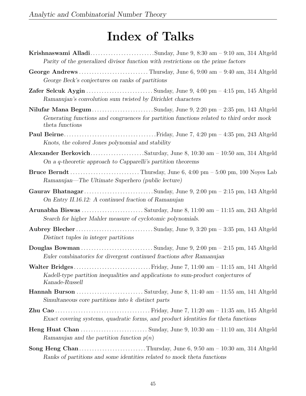# Index of Talks

- Krishnaswami Alladi. . . . . . . . . . . . . . . . . . . . . . . . .Sunday, June 9, 8:30 am 9:10 am, 314 Altgeld Parity of the generalized divisor function with restrictions on the prime factors
- George Andrews . . . . . . . . . . . . . . . . . . . . . . . . . . . Thursday, June 6, 9:00 am 9:40 am, 314 Altgeld George Beck's conjectures on ranks of partitions
- Zafer Selcuk Aygin . . . . . . . . . . . . . . . . . . . . . . . . . . Sunday, June 9, 4:00 pm 4:15 pm, 145 Altgeld Ramanujan's convolution sum twisted by Dirichlet characters
- Nilufar Mana Begum. . . . . . . . . . . . . . . . . . . . . . . . Sunday, June 9, 2:20 pm 2:35 pm, 143 Altgeld Generating functions and congruences for partition functions related to third order mock theta functions
- Paul Beirne. . . . . . . . . . . . . . . . . . . . . . . . . . . . . . . . . . . .Friday, June 7, 4:20 pm 4:35 pm, 243 Altgeld Knots, the colored Jones polynomial and stability
- Alexander Berkovich. . . . . . . . . . . . . . . . . . . . .Saturday, June 8, 10:30 am 10:50 am, 314 Altgeld On a q-theoretic approach to Capparelli's partition theorems
- Bruce Berndt . . . . . . . . . . . . . . . . . . . . . . . . . . . Thursday, June 6, 4:00 pm 5:00 pm, 100 Noyes Lab Ramanujan—The Ultimate Superhero (public lecture)
- Gaurav Bhatnagar . . . . . . . . . . . . . . . . . . . . . . . . . . . Sunday, June 9, 2:00 pm 2:15 pm, 143 Altgeld On Entry II.16.12: A continued fraction of Ramanujan
- Arunabha Biswas . . . . . . . . . . . . . . . . . . . . . . . . Saturday, June 8, 11:00 am 11:15 am, 243 Altgeld Search for higher Mahler measure of cyclotomic polynomials.
- Aubrey Blecher . . . . . . . . . . . . . . . . . . . . . . . . . . . . . . Sunday, June 9, 3:20 pm 3:35 pm, 143 Altgeld Distinct tuples in integer partitions
- Douglas Bowman . . . . . . . . . . . . . . . . . . . . . . . . . . . . Sunday, June 9, 2:00 pm 2:15 pm, 145 Altgeld Euler combinatorics for divergent continued fractions after Ramanujan
- Walter Bridges . . . . . . . . . . . . . . . . . . . . . . . . . . . . . . Friday, June 7, 11:00 am 11:15 am, 141 Altgeld Kadell-type partition inequalities and applications to sum-product conjectures of Kanade-Russell
- Hannah Burson . . . . . . . . . . . . . . . . . . . . . . . . . . Saturday, June 8, 11:40 am 11:55 am, 141 Altgeld Simultaneous core partitions into k distinct parts
- Zhu Cao . . . . . . . . . . . . . . . . . . . . . . . . . . . . . . . . . . . . . Friday, June 7, 11:20 am 11:35 am, 145 Altgeld Exact covering systems, quadratic forms, and product identities for theta functions
- Heng Huat Chan . . . . . . . . . . . . . . . . . . . . . . . . . . Sunday, June 9, 10:30 am 11:10 am, 314 Altgeld Ramanujan and the partition function  $p(n)$
- Song Heng Chan. . . . . . . . . . . . . . . . . . . . . . . . . . Thursday, June 6, 9:50 am 10:30 am, 314 Altgeld Ranks of partitions and some identities related to mock theta functions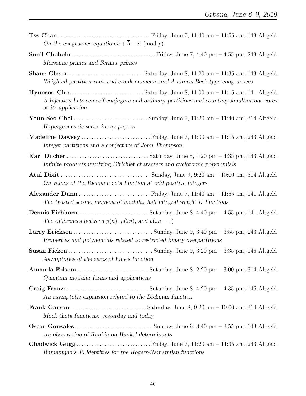| On the congruence equation $\bar{a} + \bar{b} \equiv \bar{c} \pmod{p}$                                                                       |
|----------------------------------------------------------------------------------------------------------------------------------------------|
| Mersenne primes and Fermat primes                                                                                                            |
| Weighted partition rank and crank moments and Andrews-Beck type congruences                                                                  |
| A bijection between self-conjugate and ordinary partitions and counting simultaneous cores<br>as its application                             |
| Hypergeometric series in my papers                                                                                                           |
| Integer partitions and a conjecture of John Thompson                                                                                         |
| Infinite products involving Dirichlet characters and cyclotomic polynomials                                                                  |
| On values of the Riemann zeta function at odd positive integers                                                                              |
| Alexander Dunn  Friday, June 7, 11:40 am - 11:55 am, 141 Altgeld<br>The twisted second moment of modular half integral weight $L$ -functions |
| The differences between $p(n)$ , $p(2n)$ , and $p(2n + 1)$                                                                                   |
| Properties and polynomials related to restricted binary overpartitions                                                                       |
| Asymptotics of the zeros of Fine's function                                                                                                  |
| Quantum modular forms and applications                                                                                                       |
| An asymptotic expansion related to the Dickman function                                                                                      |
| Mock theta functions: yesterday and today                                                                                                    |
| An observation of Rankin on Hankel determinants                                                                                              |
| Ramanujan's 40 identities for the Rogers-Ramanujan functions                                                                                 |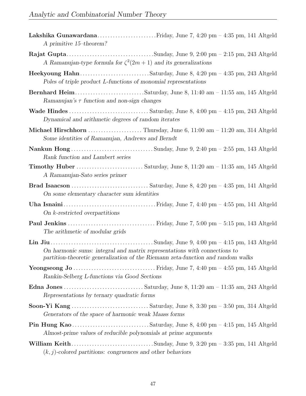| A primitive $15$ -theorem?                                                                                                                                                                                                                                                                          |
|-----------------------------------------------------------------------------------------------------------------------------------------------------------------------------------------------------------------------------------------------------------------------------------------------------|
| A Ramanujan-type formula for $\zeta^2(2m+1)$ and its generalizations                                                                                                                                                                                                                                |
| Poles of triple product L-functions of monomial representations                                                                                                                                                                                                                                     |
| Ramanujan's $\tau$ function and non-sign changes                                                                                                                                                                                                                                                    |
| Dynamical and arithmetic degrees of random iterates                                                                                                                                                                                                                                                 |
| Michael Hirschhorn  Thursday, June 6, 11:00 am - 11:20 am, 314 Altgeld<br>Some identities of Ramanujan, Andrews and Berndt                                                                                                                                                                          |
| Rank function and Lambert series                                                                                                                                                                                                                                                                    |
| A Ramanujan-Sato series primer                                                                                                                                                                                                                                                                      |
| On some elementary character sum identities                                                                                                                                                                                                                                                         |
| On $k$ -restricted overpartitions                                                                                                                                                                                                                                                                   |
| The arithmetic of modular grids                                                                                                                                                                                                                                                                     |
| Lin Jiu $\ldots$ and $\ldots$ and $\ldots$ and $\ldots$ and $\ldots$ and $\ldots$ Sunday, June 9, 4:00 pm $-$ 4:15 pm, 143 Altgeld<br>On harmonic sums: integral and matrix representations with connections to<br>partition-theoretic generalization of the Riemann zeta-function and random walks |
| Rankin-Selberg L-functions via Good Sections                                                                                                                                                                                                                                                        |
| Representations by ternary quadratic forms                                                                                                                                                                                                                                                          |
| Generators of the space of harmonic weak Maass forms                                                                                                                                                                                                                                                |
| Almost-prime values of reducible polynomials at prime arguments                                                                                                                                                                                                                                     |
| $(k, j)$ -colored partitions: congruences and other behaviors                                                                                                                                                                                                                                       |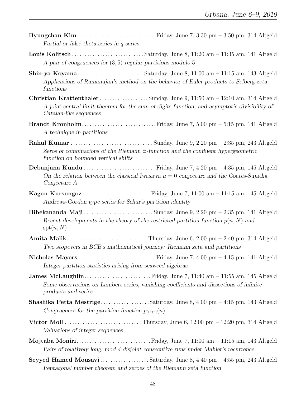- Byungchan Kim. . . . . . . . . . . . . . . . . . . . . . . . . . . . . . .Friday, June 7, 3:30 pm 3:50 pm, 314 Altgeld Partial or false theta series in q-series
- Louis Kolitsch . . . . . . . . . . . . . . . . . . . . . . . . . . . . Saturday, June 8, 11:20 am 11:35 am, 141 Altgeld A pair of congruences for (3, 5)-regular partitions modulo 5
- Shin-ya Koyama. . . . . . . . . . . . . . . . . . . . . . . . . . Saturday, June 8, 11:00 am 11:15 am, 143 Altgeld Applications of Ramanujan's method on the behavior of Euler products to Selberg zeta functions
- Christian Krattenthaler . . . . . . . . . . . . . . . . . . . Sunday, June 9, 11:50 am 12:10 am, 314 Altgeld A joint central limit theorem for the sum-of-digits function, and asymptotic divisibility of Catalan-like sequences
- Brandt Kronholm. . . . . . . . . . . . . . . . . . . . . . . . . . . . .Friday, June 7, 5:00 pm 5:15 pm, 141 Altgeld A technique in partitions
- Rahul Kumar . . . . . . . . . . . . . . . . . . . . . . . . . . . . . . . . Sunday, June 9, 2:20 pm 2:35 pm, 243 Altgeld Zeros of combinations of the Riemann Ξ-function and the confluent hypergeometric function on bounded vertical shifts
- Debanjana Kundu . . . . . . . . . . . . . . . . . . . . . . . . . . . . Friday, June 7, 4:20 pm 4:35 pm, 145 Altgeld On the relation between the classical Iwasawa  $\mu = 0$  conjecture and the Coates-Sujatha Conjecture A
- Kagan Kursungoz. . . . . . . . . . . . . . . . . . . . . . . . . . .Friday, June 7, 11:00 am 11:15 am, 145 Altgeld Andrews-Gordon type series for Schur's partition identity
- Bibekananda Maji . . . . . . . . . . . . . . . . . . . . . . . . . . . Sunday, June 9, 2:20 pm 2:35 pm, 141 Altgeld Recent developments in the theory of the restricted partition function  $p(n, N)$  and  $spt(n, N)$
- Amita Malik . . . . . . . . . . . . . . . . . . . . . . . . . . . . . . . Thursday, June 6, 2:00 pm 2:40 pm, 314 Altgeld Two stopovers in BCB's mathematical journey: Riemann zeta and partitions
- Nicholas Mayers . . . . . . . . . . . . . . . . . . . . . . . . . . . . . . Friday, June 7, 4:00 pm 4:15 pm, 141 Altgeld Integer partition statistics arising from seaweed algebras
- **James McLaughlin.............................** Friday, June 7, 11:40 am 11:55 am, 145 Altgeld Some observations on Lambert series, vanishing coefficients and dissections of infinite products and series
- Shashika Petta Mestrige. . . . . . . . . . . . . . . . . . .Saturday, June 8, 4:00 pm 4:15 pm, 143 Altgeld Congruences for the partition function  $p_{[1^c\ell^d]}(n)$
- Victor Moll . . . . . . . . . . . . . . . . . . . . . . . . . . . . . . Thursday, June 6, 12:00 pm 12:20 pm, 314 Altgeld Valuations of integer sequences
- Mojtaba Moniri. . . . . . . . . . . . . . . . . . . . . . . . . . . . .Friday, June 7, 11:00 am 11:15 am, 143 Altgeld Pairs of relatively long, mod 4 disjoint consecutive runs under Mahler's recurrence
- Seyyed Hamed Mousavi . . . . . . . . . . . . . . . . . . . Saturday, June 8, 4:40 pm 4:55 pm, 243 Altgeld Pentagonal number theorem and zeroes of the Riemann zeta function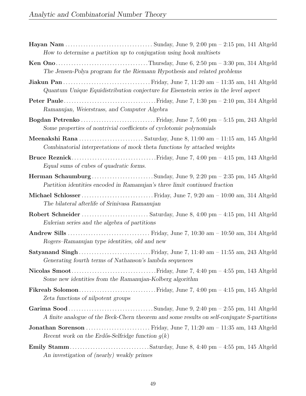| How to determine a partition up to conjugation using hook multisets                                                                                     |
|---------------------------------------------------------------------------------------------------------------------------------------------------------|
| The Jensen-Polya program for the Riemann Hypothesis and related problems                                                                                |
| Quantum Unique Equidistribution conjecture for Eisenstein series in the level aspect                                                                    |
| Ramanujan, Weierstrass, and Computer Algebra                                                                                                            |
| Some properties of nontrivial coefficients of cyclotomic polynomials                                                                                    |
| Combinatorial interpretations of mock theta functions by attached weights                                                                               |
| Equal sums of cubes of quadratic forms.                                                                                                                 |
| <b>Herman Schaumburg</b> Sunday, June 9, 2:20 pm $-$ 2:35 pm, 145 Altgeld<br>Partition identities encoded in Ramanujan's three limit continued fraction |
| The bilateral afterlife of Srinivasa Ramanujan                                                                                                          |
| Eulerian series and the algebra of partitions                                                                                                           |
| Rogers–Ramanujan type identities, old and new                                                                                                           |
| Generating fourth terms of Nathanson's lambda sequences                                                                                                 |
| Some new identities from the Ramanujan-Kolberg algorithm                                                                                                |
| Zeta functions of nilpotent groups                                                                                                                      |
| A finite analogue of the Beck-Chern theorem and some results on self-conjugate S-partitions                                                             |
| Jonathan Sorenson  Friday, June 7, 11:20 am - 11:35 am, 143 Altgeld<br>Recent work on the Erdős-Selfridge function $g(k)$                               |
| An investigation of (nearly) weakly primes                                                                                                              |